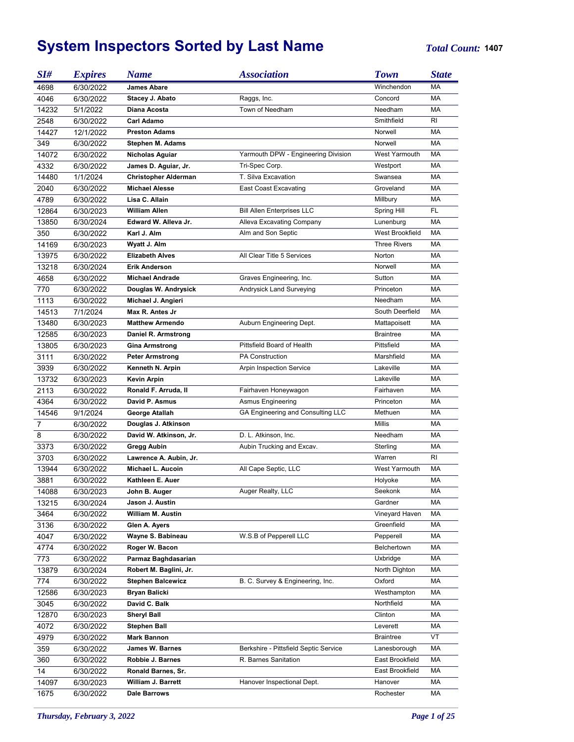## **System Inspectors Sorted by Last Name** *Total Count:* **<sup>1407</sup>**

| SI#            | <b>Expires</b> | <b>Name</b>                 | <b>Association</b>                    | <b>Town</b>         | <b>State</b> |
|----------------|----------------|-----------------------------|---------------------------------------|---------------------|--------------|
| 4698           | 6/30/2022      | <b>James Abare</b>          |                                       | Winchendon          | MA           |
| 4046           | 6/30/2022      | Stacey J. Abato             | Raggs, Inc.                           | Concord             | MA           |
| 14232          | 5/1/2022       | Diana Acosta                | Town of Needham                       | Needham             | МA           |
| 2548           | 6/30/2022      | <b>Carl Adamo</b>           |                                       | Smithfield          | RI           |
| 14427          | 12/1/2022      | <b>Preston Adams</b>        |                                       | Norwell             | МA           |
| 349            | 6/30/2022      | <b>Stephen M. Adams</b>     |                                       | Norwell             | <b>MA</b>    |
| 14072          | 6/30/2022      | Nicholas Aguiar             | Yarmouth DPW - Engineering Division   | West Yarmouth       | МA           |
| 4332           | 6/30/2022      | James D. Aguiar, Jr.        | Tri-Spec Corp.                        | Westport            | МA           |
| 14480          | 1/1/2024       | <b>Christopher Alderman</b> | T. Silva Excavation                   | Swansea             | МA           |
| 2040           | 6/30/2022      | <b>Michael Alesse</b>       | <b>East Coast Excavating</b>          | Groveland           | МA           |
| 4789           | 6/30/2022      | Lisa C. Allain              |                                       | Millbury            | МA           |
| 12864          | 6/30/2023      | <b>William Allen</b>        | <b>Bill Allen Enterprises LLC</b>     | Spring Hill         | FL.          |
| 13850          | 6/30/2024      | Edward W. Alleva Jr.        | Alleva Excavating Company             | Lunenburg           | <b>MA</b>    |
| 350            | 6/30/2022      | Karl J. Alm                 | Alm and Son Septic                    | West Brookfield     | МA           |
| 14169          | 6/30/2023      | Wyatt J. Alm                |                                       | <b>Three Rivers</b> | <b>MA</b>    |
| 13975          | 6/30/2022      | <b>Elizabeth Alves</b>      | All Clear Title 5 Services            | Norton              | МA           |
| 13218          |                | <b>Erik Anderson</b>        |                                       | Norwell             | МA           |
|                | 6/30/2024      |                             |                                       | Sutton              | <b>MA</b>    |
| 4658           | 6/30/2022      | <b>Michael Andrade</b>      | Graves Engineering, Inc.              |                     |              |
| 770            | 6/30/2022      | Douglas W. Andrysick        | Andrysick Land Surveying              | Princeton           | МA           |
| 1113           | 6/30/2022      | Michael J. Angieri          |                                       | Needham             | <b>MA</b>    |
| 14513          | 7/1/2024       | Max R. Antes Jr             |                                       | South Deerfield     | МA           |
| 13480          | 6/30/2023      | <b>Matthew Armendo</b>      | Auburn Engineering Dept.              | Mattapoisett        | <b>MA</b>    |
| 12585          | 6/30/2023      | Daniel R. Armstrong         |                                       | <b>Braintree</b>    | MA           |
| 13805          | 6/30/2023      | <b>Gina Armstrong</b>       | Pittsfield Board of Health            | Pittsfield          | MA           |
| 3111           | 6/30/2022      | <b>Peter Armstrong</b>      | <b>PA Construction</b>                | Marshfield          | MA           |
| 3939           | 6/30/2022      | Kenneth N. Arpin            | Arpin Inspection Service              | Lakeville           | MA           |
| 13732          | 6/30/2023      | Kevin Arpin                 |                                       | Lakeville           | <b>MA</b>    |
| 2113           | 6/30/2022      | Ronald F. Arruda, II        | Fairhaven Honeywagon                  | Fairhaven           | MA           |
| 4364           | 6/30/2022      | David P. Asmus              | <b>Asmus Engineering</b>              | Princeton           | MA           |
| 14546          | 9/1/2024       | George Atallah              | GA Engineering and Consulting LLC     | Methuen             | MA           |
| $\overline{7}$ | 6/30/2022      | Douglas J. Atkinson         |                                       | <b>Millis</b>       | МA           |
| 8              | 6/30/2022      | David W. Atkinson, Jr.      | D. L. Atkinson, Inc.                  | Needham             | MA           |
| 3373           | 6/30/2022      | Gregg Aubin                 | Aubin Trucking and Excav.             | Sterling            | МA           |
| 3703           | 6/30/2022      | Lawrence A. Aubin, Jr.      |                                       | Warren              | RI           |
| 13944          | 6/30/2022      | Michael L. Aucoin           | All Cape Septic, LLC                  | West Yarmouth       | MA           |
| 3881           | 6/30/2022      | Kathleen E. Auer            |                                       | Holyoke             | MA           |
| 14088          | 6/30/2023      | John B. Auger               | Auger Realty, LLC                     | Seekonk             | МA           |
| 13215          | 6/30/2024      | Jason J. Austin             |                                       | Gardner             | МA           |
| 3464           | 6/30/2022      | William M. Austin           |                                       | Vineyard Haven      | МA           |
| 3136           | 6/30/2022      | Glen A. Ayers               |                                       | Greenfield          | МA           |
| 4047           | 6/30/2022      | Wayne S. Babineau           | W.S.B of Pepperell LLC                | Pepperell           | МA           |
| 4774           | 6/30/2022      | Roger W. Bacon              |                                       | Belchertown         | МA           |
| 773            | 6/30/2022      | Parmaz Baghdasarian         |                                       | Uxbridge            | МA           |
| 13879          | 6/30/2024      | Robert M. Baglini, Jr.      |                                       | North Dighton       | МA           |
| 774            | 6/30/2022      | <b>Stephen Balcewicz</b>    | B. C. Survey & Engineering, Inc.      | Oxford              | МA           |
| 12586          | 6/30/2023      | Bryan Balicki               |                                       | Westhampton         | МA           |
| 3045           | 6/30/2022      | David C. Balk               |                                       | Northfield          | МA           |
| 12870          | 6/30/2023      | <b>Sheryl Ball</b>          |                                       | Clinton             | МA           |
| 4072           | 6/30/2022      | <b>Stephen Ball</b>         |                                       | Leverett            | МA           |
| 4979           | 6/30/2022      | Mark Bannon                 |                                       | <b>Braintree</b>    | VT           |
| 359            | 6/30/2022      | James W. Barnes             | Berkshire - Pittsfield Septic Service | Lanesborough        | МA           |
| 360            | 6/30/2022      | Robbie J. Barnes            | R. Barnes Sanitation                  | East Brookfield     | МA           |
| 14             | 6/30/2022      | Ronald Barnes, Sr.          |                                       | East Brookfield     | МA           |
| 14097          | 6/30/2023      | William J. Barrett          | Hanover Inspectional Dept.            | Hanover             | МA           |
|                |                | Dale Barrows                |                                       | Rochester           | МA           |
| 1675           | 6/30/2022      |                             |                                       |                     |              |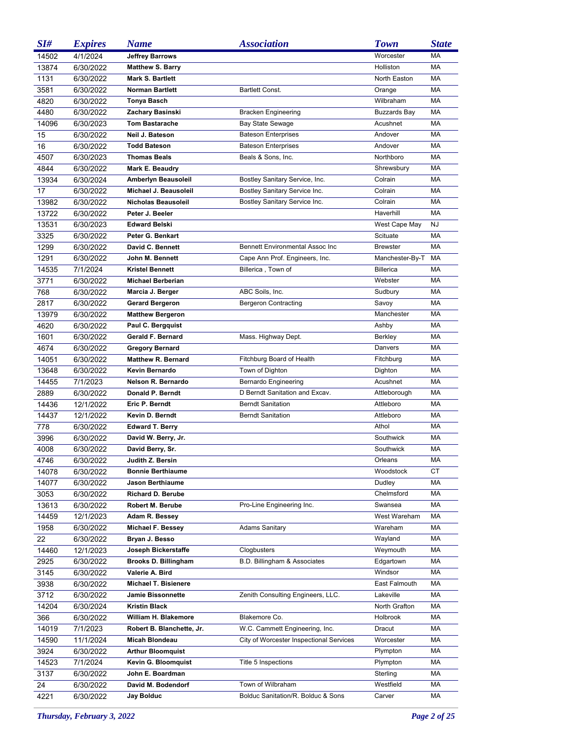| SI#   | <b>Expires</b> | <b>Name</b>                 | <b>Association</b>                      | <b>Town</b>         | <b>State</b> |
|-------|----------------|-----------------------------|-----------------------------------------|---------------------|--------------|
| 14502 | 4/1/2024       | <b>Jeffrey Barrows</b>      |                                         | Worcester           | MA           |
| 13874 | 6/30/2022      | <b>Matthew S. Barry</b>     |                                         | Holliston           | MA           |
| 1131  | 6/30/2022      | Mark S. Bartlett            |                                         | North Easton        | MA           |
| 3581  | 6/30/2022      | <b>Norman Bartlett</b>      | Bartlett Const.                         | Orange              | MA           |
| 4820  | 6/30/2022      | Tonya Basch                 |                                         | Wilbraham           | MA           |
| 4480  | 6/30/2022      | Zachary Basinski            | <b>Bracken Engineering</b>              | <b>Buzzards Bay</b> | МA           |
| 14096 | 6/30/2023      | <b>Tom Bastarache</b>       | <b>Bay State Sewage</b>                 | Acushnet            | MA           |
| 15    | 6/30/2022      | Neil J. Bateson             | <b>Bateson Enterprises</b>              | Andover             | MA           |
| 16    | 6/30/2022      | <b>Todd Bateson</b>         | <b>Bateson Enterprises</b>              | Andover             | MA           |
| 4507  | 6/30/2023      | <b>Thomas Beals</b>         | Beals & Sons, Inc.                      | Northboro           | <b>MA</b>    |
| 4844  | 6/30/2022      | Mark E. Beaudry             |                                         | Shrewsbury          | MA           |
| 13934 | 6/30/2024      | Amberlyn Beausoleil         | Bostley Sanitary Service, Inc.          | Colrain             | MA           |
| 17    | 6/30/2022      | Michael J. Beausoleil       | Bostley Sanitary Service Inc.           | Colrain             | MA           |
| 13982 | 6/30/2022      | Nicholas Beausoleil         | Bostley Sanitary Service Inc.           | Colrain             | MA           |
| 13722 | 6/30/2022      | Peter J. Beeler             |                                         | Haverhill           | MA           |
| 13531 | 6/30/2023      | <b>Edward Belski</b>        |                                         | West Cape May       | <b>NJ</b>    |
| 3325  | 6/30/2022      | Peter G. Benkart            |                                         | Scituate            | MA           |
| 1299  | 6/30/2022      | David C. Bennett            | Bennett Environmental Assoc Inc         | <b>Brewster</b>     | MA           |
| 1291  | 6/30/2022      | John M. Bennett             | Cape Ann Prof. Engineers, Inc.          | Manchester-By-T     | MA           |
| 14535 | 7/1/2024       | <b>Kristel Bennett</b>      | Billerica, Town of                      | <b>Billerica</b>    | MA           |
| 3771  | 6/30/2022      | <b>Michael Berberian</b>    |                                         | Webster             | MA           |
| 768   | 6/30/2022      | Marcia J. Berger            | ABC Soils, Inc.                         | Sudbury             | MA           |
| 2817  | 6/30/2022      | <b>Gerard Bergeron</b>      | <b>Bergeron Contracting</b>             | Savoy               | MA           |
| 13979 | 6/30/2022      | <b>Matthew Bergeron</b>     |                                         | Manchester          | МA           |
| 4620  | 6/30/2022      | Paul C. Bergquist           |                                         | Ashby               | MA           |
| 1601  | 6/30/2022      | Gerald F. Bernard           | Mass. Highway Dept.                     | Berkley             | MA           |
| 4674  | 6/30/2022      | <b>Gregory Bernard</b>      |                                         | Danvers             | MA           |
| 14051 | 6/30/2022      | <b>Matthew R. Bernard</b>   | Fitchburg Board of Health               | Fitchburg           | MA           |
| 13648 | 6/30/2022      | Kevin Bernardo              | Town of Dighton                         | Dighton             | МA           |
| 14455 | 7/1/2023       | Nelson R. Bernardo          | Bernardo Engineering                    | Acushnet            | MA           |
| 2889  | 6/30/2022      | Donald P. Berndt            | D Berndt Sanitation and Excav.          | Attleborough        | MA           |
| 14436 | 12/1/2022      | Eric P. Berndt              | <b>Berndt Sanitation</b>                | Attleboro           | МA           |
| 14437 | 12/1/2022      | Kevin D. Berndt             | <b>Berndt Sanitation</b>                | Attleboro           | МA           |
| 778   | 6/30/2022      | <b>Edward T. Berry</b>      |                                         | Athol               | МA           |
| 3996  | 6/30/2022      | David W. Berry, Jr.         |                                         | Southwick           | МA           |
| 4008  | 6/30/2022      | David Berry, Sr.            |                                         | Southwick           | МA           |
| 4746  | 6/30/2022      | Judith Z. Bersin            |                                         | Orleans             | МA           |
| 14078 | 6/30/2022      | <b>Bonnie Berthiaume</b>    |                                         | Woodstock           | СT           |
| 14077 | 6/30/2022      | <b>Jason Berthiaume</b>     |                                         | Dudley              | МA           |
| 3053  | 6/30/2022      | <b>Richard D. Berube</b>    |                                         | Chelmsford          | МA           |
| 13613 | 6/30/2022      | Robert M. Berube            | Pro-Line Engineering Inc.               | Swansea             | МA           |
| 14459 | 12/1/2023      | Adam R. Bessey              |                                         | West Wareham        | МA           |
| 1958  | 6/30/2022      | Michael F. Bessey           | <b>Adams Sanitary</b>                   | Wareham             | МA           |
| 22    | 6/30/2022      | Bryan J. Besso              |                                         | Wayland             | МA           |
| 14460 | 12/1/2023      | Joseph Bickerstaffe         | Clogbusters                             | Weymouth            | МA           |
| 2925  | 6/30/2022      | Brooks D. Billingham        | B.D. Billingham & Associates            | Edgartown           | МA           |
| 3145  | 6/30/2022      | Valerie A. Bird             |                                         | Windsor             | МA           |
| 3938  | 6/30/2022      | <b>Michael T. Bisienere</b> |                                         | East Falmouth       | МA           |
| 3712  | 6/30/2022      | <b>Jamie Bissonnette</b>    | Zenith Consulting Engineers, LLC.       | Lakeville           | МA           |
| 14204 | 6/30/2024      | <b>Kristin Black</b>        |                                         | North Grafton       | МA           |
| 366   | 6/30/2022      | William H. Blakemore        | Blakemore Co.                           | Holbrook            | МA           |
| 14019 | 7/1/2023       | Robert B. Blanchette, Jr.   | W.C. Cammett Engineering, Inc.          | Dracut              | МA           |
| 14590 | 11/1/2024      | Micah Blondeau              | City of Worcester Inspectional Services | Worcester           | МA           |
| 3924  | 6/30/2022      | <b>Arthur Bloomquist</b>    |                                         | Plympton            | МA           |
| 14523 | 7/1/2024       | Kevin G. Bloomquist         | Title 5 Inspections                     | Plympton            | МA           |
| 3137  | 6/30/2022      | John E. Boardman            |                                         | Sterling            | МA           |
| 24    | 6/30/2022      | David M. Bodendorf          | Town of Wilbraham                       | Westfield           | МA           |
| 4221  | 6/30/2022      | Jay Bolduc                  | Bolduc Sanitation/R. Bolduc & Sons      | Carver              | МA           |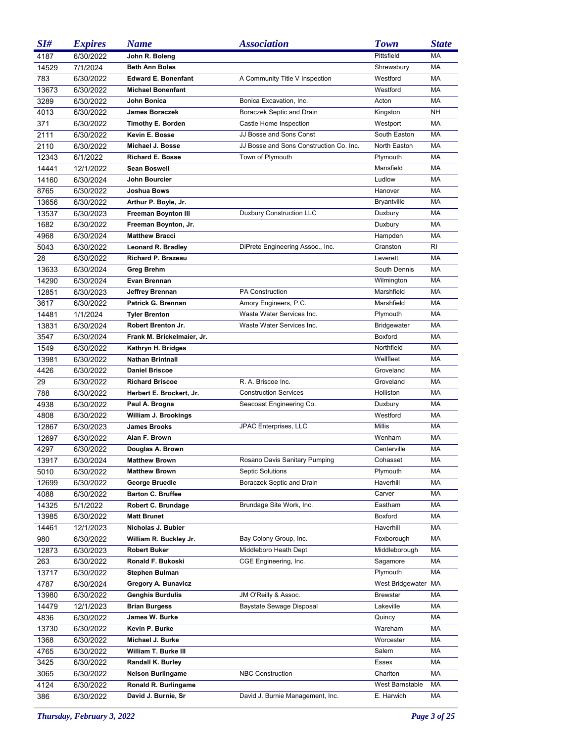| SI#   | <b>Expires</b> | <b>Name</b>                | <b>Association</b>                      | <b>Town</b>        | <b>State</b> |
|-------|----------------|----------------------------|-----------------------------------------|--------------------|--------------|
| 4187  | 6/30/2022      | John R. Boleng             |                                         | Pittsfield         | <b>MA</b>    |
| 14529 | 7/1/2024       | <b>Beth Ann Boles</b>      |                                         | Shrewsbury         | MA           |
| 783   | 6/30/2022      | <b>Edward E. Bonenfant</b> | A Community Title V Inspection          | Westford           | МA           |
| 13673 | 6/30/2022      | <b>Michael Bonenfant</b>   |                                         | Westford           | МA           |
| 3289  | 6/30/2022      | John Bonica                | Bonica Excavation, Inc.                 | Acton              | МA           |
| 4013  | 6/30/2022      | <b>James Boraczek</b>      | Boraczek Septic and Drain               | Kingston           | <b>NH</b>    |
| 371   | 6/30/2022      | <b>Timothy E. Borden</b>   | Castle Home Inspection                  | Westport           | МA           |
| 2111  | 6/30/2022      | Kevin E. Bosse             | JJ Bosse and Sons Const                 | South Easton       | MA           |
| 2110  | 6/30/2022      | Michael J. Bosse           | JJ Bosse and Sons Construction Co. Inc. | North Easton       | MA           |
| 12343 | 6/1/2022       | <b>Richard E. Bosse</b>    | Town of Plymouth                        | Plymouth           | МA           |
| 14441 | 12/1/2022      | <b>Sean Boswell</b>        |                                         | Mansfield          | МA           |
| 14160 | 6/30/2024      | John Bourcier              |                                         | Ludlow             | <b>MA</b>    |
| 8765  | 6/30/2022      | Joshua Bows                |                                         | Hanover            | MA           |
| 13656 | 6/30/2022      | Arthur P. Boyle, Jr.       |                                         | <b>Bryantville</b> | <b>MA</b>    |
| 13537 | 6/30/2023      | <b>Freeman Boynton III</b> | <b>Duxbury Construction LLC</b>         | Duxbury            | MA           |
| 1682  | 6/30/2022      | Freeman Boynton, Jr.       |                                         | Duxbury            | <b>MA</b>    |
| 4968  | 6/30/2024      | <b>Matthew Bracci</b>      |                                         | Hampden            | <b>MA</b>    |
| 5043  | 6/30/2022      | Leonard R. Bradley         | DiPrete Engineering Assoc., Inc.        | Cranston           | RI           |
| 28    | 6/30/2022      | Richard P. Brazeau         |                                         | Leverett           | <b>MA</b>    |
| 13633 | 6/30/2024      | <b>Greg Brehm</b>          |                                         | South Dennis       | MA           |
| 14290 | 6/30/2024      | Evan Brennan               |                                         | Wilmington         | <b>MA</b>    |
| 12851 | 6/30/2023      | Jeffrey Brennan            | <b>PA Construction</b>                  | Marshfield         | <b>MA</b>    |
| 3617  | 6/30/2022      | Patrick G. Brennan         | Amory Engineers, P.C.                   | Marshfield         | МA           |
| 14481 | 1/1/2024       | <b>Tyler Brenton</b>       | Waste Water Services Inc.               | Plymouth           | <b>MA</b>    |
| 13831 | 6/30/2024      | Robert Brenton Jr.         | Waste Water Services Inc.               | <b>Bridgewater</b> | МA           |
| 3547  | 6/30/2024      | Frank M. Brickelmaier, Jr. |                                         | Boxford            | <b>MA</b>    |
| 1549  | 6/30/2022      | Kathryn H. Bridges         |                                         | Northfield         | <b>MA</b>    |
| 13981 | 6/30/2022      | <b>Nathan Brintnall</b>    |                                         | Wellfleet          | <b>MA</b>    |
| 4426  | 6/30/2022      | <b>Daniel Briscoe</b>      |                                         | Groveland          | <b>MA</b>    |
| 29    | 6/30/2022      | <b>Richard Briscoe</b>     | R. A. Briscoe Inc.                      | Groveland          | МA           |
| 788   | 6/30/2022      | Herbert E. Brockert, Jr.   | <b>Construction Services</b>            | Holliston          | <b>MA</b>    |
| 4938  | 6/30/2022      | Paul A. Brogna             | Seacoast Engineering Co.                | Duxbury            | <b>MA</b>    |
| 4808  | 6/30/2022      | William J. Brookings       |                                         | Westford           | МA           |
| 12867 | 6/30/2023      | <b>James Brooks</b>        | JPAC Enterprises, LLC                   | Millis             | МA           |
| 12697 | 6/30/2022      | Alan F. Brown              |                                         | Wenham             | МA           |
| 4297  | 6/30/2022      | Douglas A. Brown           |                                         | Centerville        | МA           |
| 13917 | 6/30/2024      | <b>Matthew Brown</b>       | Rosano Davis Sanitary Pumping           | Cohasset           | МA           |
| 5010  | 6/30/2022      | <b>Matthew Brown</b>       | <b>Septic Solutions</b>                 | Plymouth           | МA           |
| 12699 | 6/30/2022      | George Bruedle             | Boraczek Septic and Drain               | Haverhill          | МA           |
| 4088  | 6/30/2022      | <b>Barton C. Bruffee</b>   |                                         | Carver             | МA           |
| 14325 | 5/1/2022       | Robert C. Brundage         | Brundage Site Work, Inc.                | Eastham            | МA           |
| 13985 | 6/30/2022      | <b>Matt Brunet</b>         |                                         | Boxford            | МA           |
| 14461 | 12/1/2023      | Nicholas J. Bubier         |                                         | Haverhill          | МA           |
| 980   | 6/30/2022      | William R. Buckley Jr.     | Bay Colony Group, Inc.                  | Foxborough         | МA           |
| 12873 | 6/30/2023      | <b>Robert Buker</b>        | Middleboro Heath Dept                   | Middleborough      | МA           |
| 263   | 6/30/2022      | Ronald F. Bukoski          | CGE Engineering, Inc.                   | Sagamore           | МA           |
| 13717 | 6/30/2022      | Stephen Bulman             |                                         | Plymouth           | МA           |
| 4787  | 6/30/2024      | Gregory A. Bunavicz        |                                         | West Bridgewater   | МA           |
| 13980 | 6/30/2022      | <b>Genghis Burdulis</b>    | JM O'Reilly & Assoc.                    | <b>Brewster</b>    | МA           |
| 14479 | 12/1/2023      | <b>Brian Burgess</b>       | Baystate Sewage Disposal                | Lakeville          | МA           |
| 4836  | 6/30/2022      | James W. Burke             |                                         | Quincy             | МA           |
| 13730 | 6/30/2022      | Kevin P. Burke             |                                         | Wareham            | МA           |
| 1368  | 6/30/2022      | Michael J. Burke           |                                         | Worcester          | МA           |
| 4765  | 6/30/2022      | William T. Burke III       |                                         | Salem              | МA           |
| 3425  | 6/30/2022      | <b>Randall K. Burley</b>   |                                         | Essex              | МA           |
| 3065  | 6/30/2022      | <b>Nelson Burlingame</b>   | <b>NBC Construction</b>                 | Charlton           | МA           |
| 4124  | 6/30/2022      | Ronald R. Burlingame       |                                         | West Barnstable    | МA           |
| 386   | 6/30/2022      | David J. Burnie, Sr        | David J. Burnie Management, Inc.        | E. Harwich         | МA           |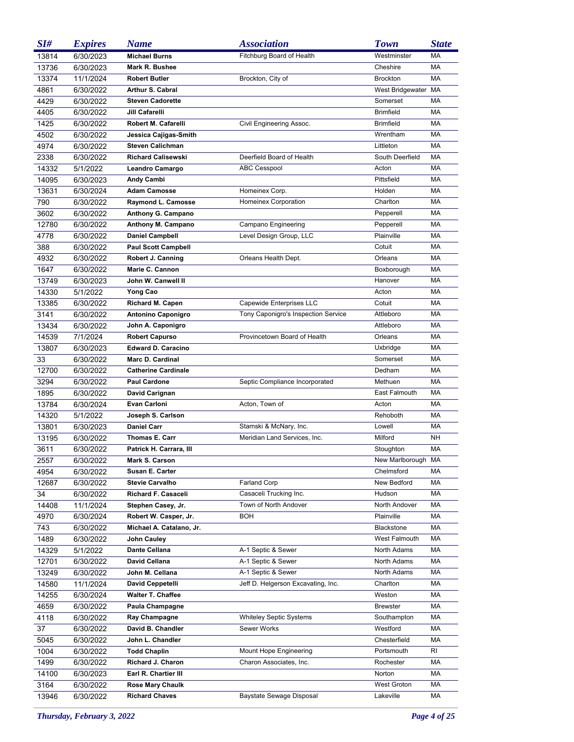| SI#   | <b>Expires</b> | <b>Name</b>                | <b>Association</b>                  | <b>Town</b>          | <b>State</b> |
|-------|----------------|----------------------------|-------------------------------------|----------------------|--------------|
| 13814 | 6/30/2023      | <b>Michael Burns</b>       | Fitchburg Board of Health           | Westminster          | MA           |
| 13736 | 6/30/2023      | Mark R. Bushee             |                                     | Cheshire             | MA           |
| 13374 | 11/1/2024      | <b>Robert Butler</b>       | Brockton, City of                   | <b>Brockton</b>      | MA           |
| 4861  | 6/30/2022      | Arthur S. Cabral           |                                     | West Bridgewater MA  |              |
| 4429  | 6/30/2022      | <b>Steven Cadorette</b>    |                                     | Somerset             | MA           |
| 4405  | 6/30/2022      | Jill Cafarelli             |                                     | <b>Brimfield</b>     | MA           |
| 1425  | 6/30/2022      | Robert M. Cafarelli        | Civil Engineering Assoc.            | <b>Brimfield</b>     | MA           |
| 4502  | 6/30/2022      | Jessica Cajigas-Smith      |                                     | Wrentham             | MA           |
| 4974  | 6/30/2022      | <b>Steven Calichman</b>    |                                     | Littleton            | MA           |
| 2338  | 6/30/2022      | <b>Richard Calisewski</b>  | Deerfield Board of Health           | South Deerfield      | MA           |
| 14332 | 5/1/2022       | Leandro Camargo            | <b>ABC Cesspool</b>                 | Acton                | MA           |
| 14095 | 6/30/2023      | Andy Cambi                 |                                     | Pittsfield           | МA           |
| 13631 | 6/30/2024      | <b>Adam Camosse</b>        | Homeinex Corp.                      | Holden               | МA           |
| 790   | 6/30/2022      | Raymond L. Camosse         | Homeinex Corporation                | Charlton             | МA           |
| 3602  | 6/30/2022      | Anthony G. Campano         |                                     | Pepperell            | МA           |
| 12780 | 6/30/2022      | Anthony M. Campano         | Campano Engineering                 | Pepperell            | МA           |
| 4778  | 6/30/2022      | <b>Daniel Campbell</b>     | Level Design Group, LLC             | Plainville           | МA           |
| 388   | 6/30/2022      | <b>Paul Scott Campbell</b> |                                     | Cotuit               | МA           |
| 4932  | 6/30/2022      | Robert J. Canning          | Orleans Health Dept.                | Orleans              | МA           |
| 1647  | 6/30/2022      | Marie C. Cannon            |                                     | Boxborough           | МA           |
| 13749 | 6/30/2023      | John W. Canwell II         |                                     | Hanover              | МA           |
| 14330 | 5/1/2022       | Yong Cao                   |                                     | Acton                | МA           |
| 13385 | 6/30/2022      | Richard M. Capen           | Capewide Enterprises LLC            | Cotuit               | МA           |
| 3141  | 6/30/2022      | <b>Antonino Caponigro</b>  | Tony Caponigro's Inspection Service | Attleboro            | МA           |
| 13434 | 6/30/2022      | John A. Caponigro          |                                     | Attleboro            | МA           |
| 14539 | 7/1/2024       | <b>Robert Capurso</b>      | Provincetown Board of Health        | Orleans              | МA           |
| 13807 | 6/30/2023      | <b>Edward D. Caracino</b>  |                                     | Uxbridge             | МA           |
| 33    | 6/30/2022      | Marc D. Cardinal           |                                     | Somerset             | МA           |
| 12700 | 6/30/2022      | <b>Catherine Cardinale</b> |                                     | Dedham               | МA           |
| 3294  | 6/30/2022      | <b>Paul Cardone</b>        | Septic Compliance Incorporated      | Methuen              | МA           |
| 1895  | 6/30/2022      | David Carignan             |                                     | East Falmouth        | МA           |
| 13784 | 6/30/2024      | <b>Evan Carloni</b>        | Acton, Town of                      | Acton                | МA           |
| 14320 | 5/1/2022       | Joseph S. Carlson          |                                     | Rehoboth             | МA           |
| 13801 | 6/30/2023      | <b>Daniel Carr</b>         | Stamski & McNary, Inc.              | Lowell               | МA           |
| 13195 | 6/30/2022      | Thomas E. Carr             | Meridian Land Services, Inc.        | Milford              | NΗ           |
| 3611  | 6/30/2022      | Patrick H. Carrara, III    |                                     | Stoughton            | MA           |
| 2557  | 6/30/2022      | Mark S. Carson             |                                     | New Marlborough MA   |              |
| 4954  | 6/30/2022      | <b>Susan E. Carter</b>     |                                     | Chelmsford           | МA           |
| 12687 | 6/30/2022      | <b>Stevie Carvalho</b>     | <b>Farland Corp</b>                 | New Bedford          | МA           |
| 34    | 6/30/2022      | <b>Richard F. Casaceli</b> | Casaceli Trucking Inc.              | Hudson               | МA           |
| 14408 | 11/1/2024      | Stephen Casey, Jr.         | Town of North Andover               | North Andover        | МA           |
| 4970  | 6/30/2024      | Robert W. Casper, Jr.      | BOH                                 | Plainville           | МA           |
| 743   | 6/30/2022      | Michael A. Catalano, Jr.   |                                     | <b>Blackstone</b>    | МA           |
| 1489  | 6/30/2022      | John Cauley                |                                     | <b>West Falmouth</b> | МA           |
| 14329 | 5/1/2022       | Dante Cellana              | A-1 Septic & Sewer                  | North Adams          | МA           |
| 12701 | 6/30/2022      | <b>David Cellana</b>       | A-1 Septic & Sewer                  | North Adams          | МA           |
| 13249 | 6/30/2022      | John M. Cellana            | A-1 Septic & Sewer                  | North Adams          | МA           |
| 14580 | 11/1/2024      | David Ceppetelli           | Jeff D. Helgerson Excavating, Inc.  | Charlton             | МA           |
| 14255 | 6/30/2024      | <b>Walter T. Chaffee</b>   |                                     | Weston               | МA           |
| 4659  | 6/30/2022      | Paula Champagne            |                                     | <b>Brewster</b>      | МA           |
| 4118  | 6/30/2022      | Ray Champagne              | <b>Whiteley Septic Systems</b>      | Southampton          | МA           |
| 37    | 6/30/2022      | David B. Chandler          | Sewer Works                         | Westford             | МA           |
| 5045  | 6/30/2022      | John L. Chandler           |                                     | Chesterfield         | МA           |
| 1004  | 6/30/2022      | <b>Todd Chaplin</b>        | Mount Hope Engineering              | Portsmouth           | RI           |
| 1499  | 6/30/2022      | Richard J. Charon          | Charon Associates, Inc.             | Rochester            | МA           |
| 14100 | 6/30/2023      | Earl R. Chartier III       |                                     | Norton               | МA           |
| 3164  | 6/30/2022      | <b>Rose Mary Chaulk</b>    |                                     | West Groton          | МA           |
| 13946 | 6/30/2022      | <b>Richard Chaves</b>      | Baystate Sewage Disposal            | Lakeville            | МA           |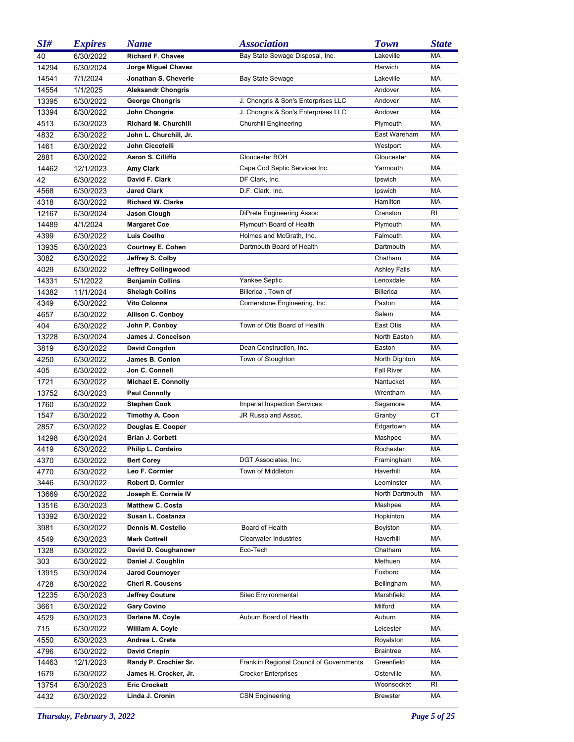| SI#   | <b>Expires</b> | Name                        | <b>Association</b>                       | <b>Town</b>         | <b>State</b> |
|-------|----------------|-----------------------------|------------------------------------------|---------------------|--------------|
| 40    | 6/30/2022      | <b>Richard F. Chaves</b>    | Bay State Sewage Disposal, Inc.          | Lakeville           | MA           |
| 14294 | 6/30/2024      | Jorge Miguel Chavez         |                                          | Harwich             | MA           |
| 14541 | 7/1/2024       | Jonathan S. Cheverie        | <b>Bay State Sewage</b>                  | Lakeville           | МA           |
| 14554 | 1/1/2025       | <b>Aleksandr Chongris</b>   |                                          | Andover             | MA           |
| 13395 | 6/30/2022      | <b>George Chongris</b>      | J. Chongris & Son's Enterprises LLC      | Andover             | MA           |
| 13394 | 6/30/2022      | John Chongris               | J. Chongris & Son's Enterprises LLC      | Andover             | MA           |
| 4513  | 6/30/2023      | <b>Richard M. Churchill</b> | <b>Churchill Engineering</b>             | Plymouth            | МA           |
| 4832  | 6/30/2022      | John L. Churchill, Jr.      |                                          | East Wareham        | MA           |
| 1461  | 6/30/2022      | John Ciccotelli             |                                          | Westport            | MA           |
| 2881  | 6/30/2022      | Aaron S. Cilliffo           | Gloucester BOH                           | Gloucester          | MA           |
| 14462 | 12/1/2023      | Amy Clark                   | Cape Cod Septic Services Inc.            | Yarmouth            | MA           |
| 42    | 6/30/2022      | David F. Clark              | DF Clark, Inc.                           | Ipswich             | MA           |
| 4568  | 6/30/2023      | Jared Clark                 | D.F. Clark, Inc.                         | Ipswich             | МA           |
| 4318  | 6/30/2022      | <b>Richard W. Clarke</b>    |                                          | Hamilton            | МA           |
| 12167 | 6/30/2024      | Jason Clough                | DiPrete Engineering Assoc                | Cranston            | RI           |
| 14489 | 4/1/2024       | <b>Margaret Coe</b>         | Plymouth Board of Health                 | Plymouth            | МA           |
| 4399  | 6/30/2022      | Luis Coelho                 | Holmes and McGrath, Inc.                 | Falmouth            | МA           |
| 13935 | 6/30/2023      | <b>Courtney E. Cohen</b>    | Dartmouth Board of Health                | Dartmouth           | МA           |
| 3082  | 6/30/2022      | Jeffrey S. Colby            |                                          | Chatham             | МA           |
| 4029  | 6/30/2022      | Jeffrey Collingwood         |                                          | <b>Ashley Falls</b> | МA           |
| 14331 | 5/1/2022       | <b>Benjamin Collins</b>     | Yankee Septic                            | Lenoxdale           | МA           |
| 14382 | 11/1/2024      | <b>Shelagh Collins</b>      | Billerica, Town of                       | <b>Billerica</b>    | МA           |
| 4349  | 6/30/2022      | Vito Colonna                | Cornerstone Engineering, Inc.            | Paxton              | МA           |
| 4657  | 6/30/2022      | <b>Allison C. Conboy</b>    |                                          | Salem               | МA           |
| 404   | 6/30/2022      | John P. Conboy              | Town of Otis Board of Health             | East Otis           | МA           |
| 13228 | 6/30/2024      | James J. Conceison          |                                          | North Easton        | МA           |
| 3819  | 6/30/2022      | David Congdon               | Dean Construction, Inc.                  | Easton              | МA           |
| 4250  | 6/30/2022      | James B. Conlon             | Town of Stoughton                        | North Dighton       | МA           |
| 405   | 6/30/2022      | Jon C. Connell              |                                          | <b>Fall River</b>   | МA           |
| 1721  | 6/30/2022      | <b>Michael E. Connolly</b>  |                                          | Nantucket           | МA           |
| 13752 | 6/30/2023      | <b>Paul Connolly</b>        |                                          | Wrentham            | МA           |
| 1760  | 6/30/2022      | Stephen Cook                | <b>Imperial Inspection Services</b>      | Sagamore            | МA           |
| 1547  | 6/30/2022      | Timothy A. Coon             | JR Russo and Assoc.                      | Granby              | СT           |
| 2857  | 6/30/2022      | Douglas E. Cooper           |                                          | Edgartown           | МA           |
| 14298 | 6/30/2024      | <b>Brian J. Corbett</b>     |                                          | Mashpee             | МA           |
| 4419  | 6/30/2022      | Philip L. Cordeiro          |                                          | Rochester           | MA           |
| 4370  | 6/30/2022      | <b>Bert Corey</b>           | DGT Associates, Inc.                     | Framingham          | МA           |
| 4770  | 6/30/2022      | Leo F. Cormier              | Town of Middleton                        | Haverhill           | МA           |
| 3446  | 6/30/2022      | <b>Robert D. Cormier</b>    |                                          | Leominster          | МA           |
| 13669 | 6/30/2022      | Joseph E. Correia IV        |                                          | North Dartmouth     | МA           |
| 13516 | 6/30/2023      | <b>Matthew C. Costa</b>     |                                          | Mashpee             | МA           |
| 13392 | 6/30/2022      | Susan L. Costanza           |                                          | Hopkinton           | МA           |
| 3981  | 6/30/2022      | Dennis M. Costello          | Board of Health                          | Boylston            | МA           |
| 4549  | 6/30/2023      | <b>Mark Cottrell</b>        | <b>Clearwater Industries</b>             | Haverhill           | МA           |
| 1328  | 6/30/2022      | David D. Coughanowr         | Eco-Tech                                 | Chatham             | МA           |
| 303   | 6/30/2022      | Daniel J. Coughlin          |                                          | Methuen             | МA           |
| 13915 | 6/30/2024      | <b>Jarod Cournoyer</b>      |                                          | Foxboro             | МA           |
| 4728  | 6/30/2022      | <b>Cheri R. Cousens</b>     |                                          | Bellingham          | МA           |
| 12235 | 6/30/2023      | Jeffrey Couture             | Sitec Environmental                      | Marshfield          | МA           |
| 3661  | 6/30/2022      | <b>Gary Covino</b>          |                                          | Milford             | МA           |
| 4529  | 6/30/2023      | Darlene M. Coyle            | Auburn Board of Health                   | Auburn              | МA           |
| 715   | 6/30/2022      | William A. Coyle            |                                          | Leicester           | МA           |
| 4550  | 6/30/2023      | Andrea L. Crete             |                                          | Royalston           | МA           |
| 4796  | 6/30/2022      | <b>David Crispin</b>        |                                          | <b>Braintree</b>    | МA           |
| 14463 | 12/1/2023      | Randy P. Crochier Sr.       | Franklin Regional Council of Governments | Greenfield          | МA           |
| 1679  | 6/30/2022      | James H. Crocker, Jr.       | <b>Crocker Enterprises</b>               | Osterville          | МA           |
| 13754 | 6/30/2023      | <b>Eric Crockett</b>        |                                          | Woonsocket          | RI           |
| 4432  | 6/30/2022      | Linda J. Cronin             | <b>CSN Engineering</b>                   | <b>Brewster</b>     | МA           |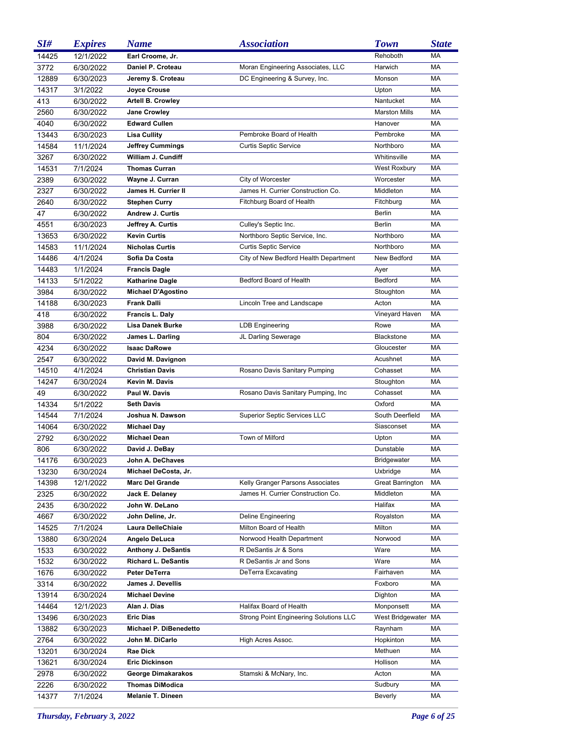| SI#   | <b>Expires</b> | <b>Name</b>                | <b>Association</b>                     | <b>Town</b>             | <b>State</b> |
|-------|----------------|----------------------------|----------------------------------------|-------------------------|--------------|
| 14425 | 12/1/2022      | Earl Croome, Jr.           |                                        | Rehoboth                | MA           |
| 3772  | 6/30/2022      | Daniel P. Croteau          | Moran Engineering Associates, LLC      | Harwich                 | MA           |
| 12889 | 6/30/2023      | Jeremy S. Croteau          | DC Engineering & Survey, Inc.          | Monson                  | MA           |
| 14317 | 3/1/2022       | <b>Joyce Crouse</b>        |                                        | Upton                   | МA           |
| 413   | 6/30/2022      | <b>Artell B. Crowley</b>   |                                        | Nantucket               | MA           |
| 2560  | 6/30/2022      | <b>Jane Crowley</b>        |                                        | <b>Marston Mills</b>    | MA           |
| 4040  | 6/30/2022      | <b>Edward Cullen</b>       |                                        | Hanover                 | MA           |
| 13443 | 6/30/2023      | <b>Lisa Cullity</b>        | Pembroke Board of Health               | Pembroke                | MA           |
| 14584 | 11/1/2024      | <b>Jeffrey Cummings</b>    | <b>Curtis Septic Service</b>           | Northboro               | MA           |
| 3267  | 6/30/2022      | William J. Cundiff         |                                        | Whitinsville            | MA           |
| 14531 | 7/1/2024       | <b>Thomas Curran</b>       |                                        | <b>West Roxbury</b>     | MA           |
| 2389  | 6/30/2022      | Wayne J. Curran            | City of Worcester                      | Worcester               | МA           |
| 2327  | 6/30/2022      | James H. Currier II        | James H. Currier Construction Co.      | Middleton               | МA           |
| 2640  | 6/30/2022      | <b>Stephen Curry</b>       | Fitchburg Board of Health              | Fitchburg               | МA           |
| 47    | 6/30/2022      | Andrew J. Curtis           |                                        | Berlin                  | МA           |
| 4551  | 6/30/2023      | Jeffrey A. Curtis          | Culley's Septic Inc.                   | <b>Berlin</b>           | МA           |
| 13653 | 6/30/2022      | <b>Kevin Curtis</b>        | Northboro Septic Service, Inc.         | Northboro               | МA           |
| 14583 | 11/1/2024      | <b>Nicholas Curtis</b>     | <b>Curtis Septic Service</b>           | Northboro               | МA           |
| 14486 | 4/1/2024       | Sofia Da Costa             | City of New Bedford Health Department  | New Bedford             | МA           |
| 14483 | 1/1/2024       | <b>Francis Dagle</b>       |                                        | Ayer                    | МA           |
| 14133 | 5/1/2022       | <b>Katharine Dagle</b>     | Bedford Board of Health                | Bedford                 | МA           |
| 3984  | 6/30/2022      | <b>Michael D'Agostino</b>  |                                        | Stoughton               | MA           |
| 14188 | 6/30/2023      | <b>Frank Dalli</b>         | Lincoln Tree and Landscape             | Acton                   | МA           |
| 418   | 6/30/2022      | Francis L. Daly            |                                        | Vineyard Haven          | MA           |
| 3988  | 6/30/2022      | Lisa Danek Burke           | <b>LDB Engineering</b>                 | Rowe                    | MA           |
| 804   | 6/30/2022      | James L. Darling           | JL Darling Sewerage                    | <b>Blackstone</b>       | МA           |
| 4234  | 6/30/2022      | <b>Isaac DaRowe</b>        |                                        | Gloucester              | МA           |
| 2547  | 6/30/2022      | David M. Davignon          |                                        | Acushnet                | МA           |
| 14510 | 4/1/2024       | <b>Christian Davis</b>     | Rosano Davis Sanitary Pumping          | Cohasset                | МA           |
| 14247 | 6/30/2024      | Kevin M. Davis             |                                        | Stoughton               | МA           |
| 49    | 6/30/2022      | Paul W. Davis              | Rosano Davis Sanitary Pumping, Inc.    | Cohasset                | МA           |
| 14334 | 5/1/2022       | <b>Seth Davis</b>          |                                        | Oxford                  | МA           |
| 14544 | 7/1/2024       | Joshua N. Dawson           | <b>Superior Septic Services LLC</b>    | South Deerfield         | МA           |
| 14064 | 6/30/2022      | Michael Day                |                                        | Siasconset              | МA           |
| 2792  | 6/30/2022      | <b>Michael Dean</b>        | Town of Milford                        | Upton                   | МA           |
| 806   | 6/30/2022      | David J. DeBay             |                                        | Dunstable               | МA           |
| 14176 | 6/30/2023      | John A. DeChaves           |                                        | <b>Bridgewater</b>      | МA           |
| 13230 | 6/30/2024      | Michael DeCosta, Jr.       |                                        | Uxbridge                | МA           |
| 14398 | 12/1/2022      | <b>Marc Del Grande</b>     | Kelly Granger Parsons Associates       | <b>Great Barrington</b> | МA           |
| 2325  | 6/30/2022      | Jack E. Delaney            | James H. Currier Construction Co.      | Middleton               | МA           |
| 2435  | 6/30/2022      | John W. DeLano             |                                        | Halifax                 | МA           |
| 4667  | 6/30/2022      | John Deline, Jr.           | Deline Engineering                     | Royalston               | МA           |
| 14525 | 7/1/2024       | Laura DelleChiaie          | Milton Board of Health                 | Milton                  | МA           |
| 13880 | 6/30/2024      | Angelo DeLuca              | Norwood Health Department              | Norwood                 | МA           |
| 1533  | 6/30/2022      | <b>Anthony J. DeSantis</b> | R DeSantis Jr & Sons                   | Ware                    | МA           |
| 1532  | 6/30/2022      | <b>Richard L. DeSantis</b> | R DeSantis Jr and Sons                 | Ware                    | МA           |
| 1676  | 6/30/2022      | Peter DeTerra              | DeTerra Excavating                     | Fairhaven               | МA           |
| 3314  | 6/30/2022      | James J. Devellis          |                                        | Foxboro                 | МA           |
| 13914 | 6/30/2024      | <b>Michael Devine</b>      |                                        | Dighton                 | МA           |
| 14464 | 12/1/2023      | Alan J. Dias               | Halifax Board of Health                | Monponsett              | МA           |
| 13496 | 6/30/2023      | <b>Eric Dias</b>           | Strong Point Engineering Solutions LLC | West Bridgewater MA     |              |
| 13882 | 6/30/2023      | Michael P. DiBenedetto     |                                        | Raynham                 | МA           |
| 2764  | 6/30/2022      | John M. DiCarlo            | High Acres Assoc.                      | Hopkinton               | МA           |
| 13201 | 6/30/2024      | Rae Dick                   |                                        | Methuen                 | МA           |
| 13621 | 6/30/2024      | <b>Eric Dickinson</b>      |                                        | Hollison                | МA           |
| 2978  | 6/30/2022      | George Dimakarakos         | Stamski & McNary, Inc.                 | Acton                   | МA           |
| 2226  | 6/30/2022      | <b>Thomas DiModica</b>     |                                        | Sudbury                 | МA           |
| 14377 | 7/1/2024       | <b>Melanie T. Dineen</b>   |                                        | <b>Beverly</b>          | МA           |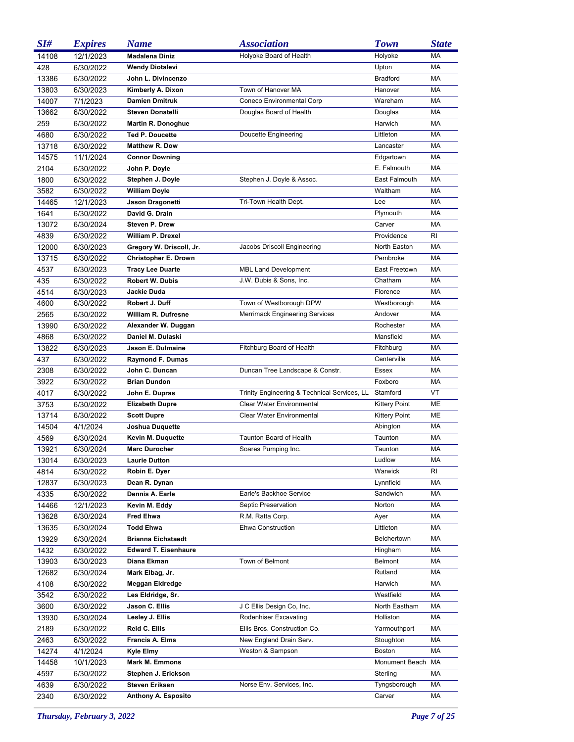| SI#   | <b>Expires</b> | <b>Name</b>                 | <b>Association</b>                           | <b>Town</b>          | <b>State</b> |
|-------|----------------|-----------------------------|----------------------------------------------|----------------------|--------------|
| 14108 | 12/1/2023      | <b>Madalena Diniz</b>       | Holyoke Board of Health                      | Holyoke              | MA           |
| 428   | 6/30/2022      | <b>Wendy Diotalevi</b>      |                                              | Upton                | MA           |
| 13386 | 6/30/2022      | John L. Divincenzo          |                                              | <b>Bradford</b>      | MA           |
| 13803 | 6/30/2023      | Kimberly A. Dixon           | Town of Hanover MA                           | Hanover              | МA           |
| 14007 | 7/1/2023       | <b>Damien Dmitruk</b>       | Coneco Environmental Corp                    | Wareham              | МA           |
| 13662 | 6/30/2022      | <b>Steven Donatelli</b>     | Douglas Board of Health                      | Douglas              | МA           |
| 259   | 6/30/2022      | <b>Martin R. Donoghue</b>   |                                              | Harwich              | MA           |
| 4680  | 6/30/2022      | <b>Ted P. Doucette</b>      | Doucette Engineering                         | Littleton            | МA           |
| 13718 | 6/30/2022      | <b>Matthew R. Dow</b>       |                                              | Lancaster            | МA           |
| 14575 | 11/1/2024      | <b>Connor Downing</b>       |                                              | Edgartown            | МA           |
| 2104  | 6/30/2022      | John P. Doyle               |                                              | E. Falmouth          | МA           |
| 1800  | 6/30/2022      | Stephen J. Doyle            | Stephen J. Doyle & Assoc.                    | East Falmouth        | МA           |
| 3582  | 6/30/2022      | William Doyle               |                                              | Waltham              | МA           |
| 14465 | 12/1/2023      | Jason Dragonetti            | Tri-Town Health Dept.                        | Lee                  | МA           |
| 1641  | 6/30/2022      | David G. Drain              |                                              | Plymouth             | МA           |
| 13072 | 6/30/2024      | Steven P. Drew              |                                              | Carver               | МA           |
| 4839  | 6/30/2022      | William P. Drexel           |                                              | Providence           | RI           |
| 12000 | 6/30/2023      | Gregory W. Driscoll, Jr.    | Jacobs Driscoll Engineering                  | North Easton         | МA           |
| 13715 | 6/30/2022      | Christopher E. Drown        |                                              | Pembroke             | МA           |
| 4537  | 6/30/2023      | <b>Tracy Lee Duarte</b>     | <b>MBL Land Development</b>                  | East Freetown        | МA           |
| 435   | 6/30/2022      | <b>Robert W. Dubis</b>      | J.W. Dubis & Sons, Inc.                      | Chatham              | МA           |
| 4514  | 6/30/2023      | Jackie Duda                 |                                              | Florence             | МA           |
| 4600  | 6/30/2022      | Robert J. Duff              | Town of Westborough DPW                      | Westborough          | МA           |
| 2565  | 6/30/2022      | William R. Dufresne         | <b>Merrimack Engineering Services</b>        | Andover              | МA           |
| 13990 | 6/30/2022      | Alexander W. Duggan         |                                              | Rochester            | МA           |
| 4868  | 6/30/2022      | Daniel M. Dulaski           |                                              | Mansfield            | МA           |
| 13822 | 6/30/2023      | Jason E. Dulmaine           | Fitchburg Board of Health                    | Fitchburg            | МA           |
| 437   | 6/30/2022      | <b>Raymond F. Dumas</b>     |                                              | Centerville          | МA           |
| 2308  | 6/30/2022      | John C. Duncan              | Duncan Tree Landscape & Constr.              | Essex                | МA           |
| 3922  | 6/30/2022      | <b>Brian Dundon</b>         |                                              | Foxboro              | МA           |
| 4017  | 6/30/2022      | John E. Dupras              | Trinity Engineering & Technical Services, LL | Stamford             | VT           |
| 3753  | 6/30/2022      | <b>Elizabeth Dupre</b>      | <b>Clear Water Environmental</b>             | <b>Kittery Point</b> | ME           |
| 13714 | 6/30/2022      | <b>Scott Dupre</b>          | Clear Water Environmental                    | <b>Kittery Point</b> | ME           |
| 14504 | 4/1/2024       | Joshua Duquette             |                                              | Abington             | МA           |
| 4569  | 6/30/2024      | Kevin M. Duquette           | Taunton Board of Health                      | Taunton              | МA           |
| 13921 | 6/30/2024      | <b>Marc Durocher</b>        | Soares Pumping Inc.                          | Taunton              | МA           |
| 13014 | 6/30/2023      | <b>Laurie Dutton</b>        |                                              | Ludlow               | МA           |
| 4814  | 6/30/2022      | Robin E. Dyer               |                                              | Warwick              | RI           |
| 12837 | 6/30/2023      | Dean R. Dynan               |                                              | Lynnfield            | МA           |
| 4335  | 6/30/2022      | Dennis A. Earle             | Earle's Backhoe Service                      | Sandwich             | МA           |
| 14466 | 12/1/2023      | Kevin M. Eddy               | Septic Preservation                          | Norton               | МA           |
| 13628 | 6/30/2024      | <b>Fred Ehwa</b>            | R.M. Ratta Corp.                             | Ayer                 | МA           |
| 13635 | 6/30/2024      | <b>Todd Ehwa</b>            | Ehwa Construction                            | Littleton            | МA           |
| 13929 | 6/30/2024      | <b>Brianna Eichstaedt</b>   |                                              | Belchertown          | МA           |
| 1432  | 6/30/2022      | <b>Edward T. Eisenhaure</b> |                                              | Hingham              | МA           |
| 13903 | 6/30/2023      | Diana Ekman                 | Town of Belmont                              | Belmont              | МA           |
| 12682 | 6/30/2024      | Mark Elbag, Jr.             |                                              | Rutland              | МA           |
| 4108  | 6/30/2022      | Meggan Eldredge             |                                              | Harwich              | МA           |
| 3542  | 6/30/2022      | Les Eldridge, Sr.           |                                              | Westfield            | МA           |
| 3600  | 6/30/2022      | Jason C. Ellis              | J C Ellis Design Co, Inc.                    | North Eastham        | МA           |
| 13930 | 6/30/2024      | Lesley J. Ellis             | Rodenhiser Excavating                        | Holliston            | МA           |
| 2189  | 6/30/2022      | Reid C. Ellis               | Ellis Bros. Construction Co.                 | Yarmouthport         | МA           |
| 2463  | 6/30/2022      | <b>Francis A. Elms</b>      | New England Drain Serv.                      | Stoughton            | МA           |
| 14274 | 4/1/2024       | Kyle Elmy                   | Weston & Sampson                             | <b>Boston</b>        | МA           |
| 14458 | 10/1/2023      | <b>Mark M. Emmons</b>       |                                              | Monument Beach MA    |              |
| 4597  | 6/30/2022      | Stephen J. Erickson         |                                              | Sterling             | МA           |
| 4639  | 6/30/2022      | <b>Steven Eriksen</b>       | Norse Env. Services, Inc.                    | Tyngsborough         | МA           |
| 2340  | 6/30/2022      | Anthony A. Esposito         |                                              | Carver               | МA           |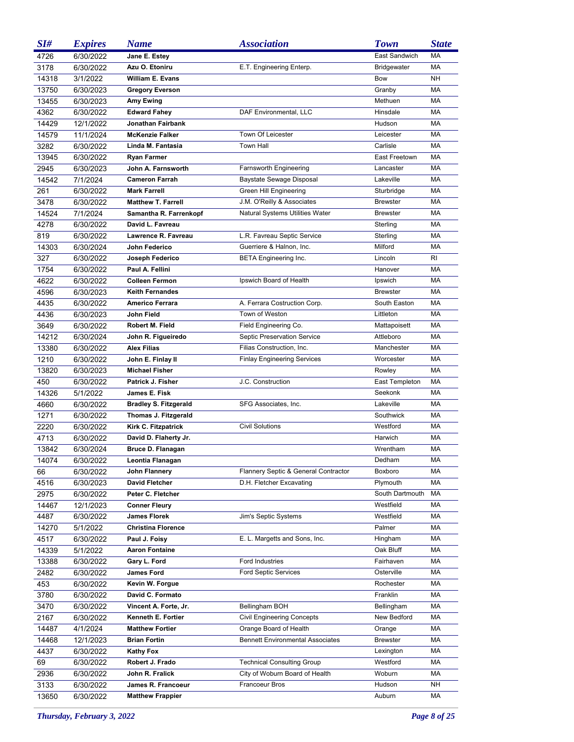| SI#   | <b>Expires</b> | <b>Name</b>                  | <b>Association</b>                      | <b>Town</b>        | <b>State</b> |
|-------|----------------|------------------------------|-----------------------------------------|--------------------|--------------|
| 4726  | 6/30/2022      | Jane E. Estey                |                                         | East Sandwich      | MA           |
| 3178  | 6/30/2022      | Azu O. Etoniru               | E.T. Engineering Enterp.                | <b>Bridgewater</b> | MA           |
| 14318 | 3/1/2022       | William E. Evans             |                                         | Bow                | <b>NH</b>    |
| 13750 | 6/30/2023      | <b>Gregory Everson</b>       |                                         | Granby             | MA           |
| 13455 | 6/30/2023      | Amy Ewing                    |                                         | Methuen            | MA           |
| 4362  | 6/30/2022      | <b>Edward Fahey</b>          | DAF Environmental, LLC                  | Hinsdale           | MA           |
| 14429 | 12/1/2022      | Jonathan Fairbank            |                                         | Hudson             | MA           |
| 14579 | 11/1/2024      | <b>McKenzie Falker</b>       | Town Of Leicester                       | Leicester          | MA           |
| 3282  | 6/30/2022      | Linda M. Fantasia            | <b>Town Hall</b>                        | Carlisle           | MA           |
| 13945 | 6/30/2022      | <b>Ryan Farmer</b>           |                                         | East Freetown      | MA           |
| 2945  | 6/30/2023      | John A. Farnsworth           | <b>Farnsworth Engineering</b>           | Lancaster          | MA           |
| 14542 | 7/1/2024       | <b>Cameron Farrah</b>        | Baystate Sewage Disposal                | Lakeville          | МA           |
| 261   | 6/30/2022      | <b>Mark Farrell</b>          | Green Hill Engineering                  | Sturbridge         | MA           |
| 3478  | 6/30/2022      | <b>Matthew T. Farrell</b>    | J.M. O'Reilly & Associates              | <b>Brewster</b>    | МA           |
| 14524 | 7/1/2024       | Samantha R. Farrenkopf       | Natural Systems Utilities Water         | <b>Brewster</b>    | МA           |
| 4278  | 6/30/2022      | David L. Favreau             |                                         | Sterling           | MA           |
| 819   | 6/30/2022      | Lawrence R. Favreau          | L.R. Favreau Septic Service             | Sterling           | МA           |
| 14303 | 6/30/2024      | John Federico                | Guerriere & Halnon, Inc.                | Milford            | МA           |
| 327   | 6/30/2022      | Joseph Federico              | <b>BETA Engineering Inc.</b>            | Lincoln            | RI           |
| 1754  | 6/30/2022      | Paul A. Fellini              |                                         | Hanover            | МA           |
| 4622  | 6/30/2022      | <b>Colleen Fermon</b>        | Ipswich Board of Health                 | Ipswich            | MA           |
| 4596  | 6/30/2023      | <b>Keith Fernandes</b>       |                                         | <b>Brewster</b>    | MA           |
| 4435  | 6/30/2022      | Americo Ferrara              | A. Ferrara Costruction Corp.            | South Easton       | МA           |
| 4436  | 6/30/2023      | John Field                   | Town of Weston                          | Littleton          | MA           |
| 3649  | 6/30/2022      | Robert M. Field              | Field Engineering Co.                   | Mattapoisett       | МA           |
| 14212 | 6/30/2024      | John R. Figueiredo           | Septic Preservation Service             | Attleboro          | МA           |
| 13380 | 6/30/2022      | <b>Alex Filias</b>           | Filias Construction, Inc.               | Manchester         | МA           |
| 1210  | 6/30/2022      | John E. Finlay II            | <b>Finlay Engineering Services</b>      | Worcester          | МA           |
| 13820 | 6/30/2023      | <b>Michael Fisher</b>        |                                         | Rowley             | МA           |
| 450   | 6/30/2022      | Patrick J. Fisher            | J.C. Construction                       | East Templeton     | МA           |
| 14326 | 5/1/2022       | James E. Fisk                |                                         | Seekonk            | МA           |
| 4660  | 6/30/2022      | <b>Bradley S. Fitzgerald</b> | SFG Associates, Inc.                    | Lakeville          | МA           |
| 1271  | 6/30/2022      | Thomas J. Fitzgerald         |                                         | Southwick          | MA           |
| 2220  | 6/30/2022      | Kirk C. Fitzpatrick          | <b>Civil Solutions</b>                  | Westford           | МA           |
| 4713  | 6/30/2022      | David D. Flaherty Jr.        |                                         | Harwich            | МA           |
| 13842 | 6/30/2024      | Bruce D. Flanagan            |                                         | Wrentham           | МA           |
| 14074 | 6/30/2022      | Leontia Flanagan             |                                         | Dedham             | МA           |
| 66    | 6/30/2022      | John Flannery                | Flannery Septic & General Contractor    | Boxboro            | МA           |
| 4516  | 6/30/2023      | <b>David Fletcher</b>        | D.H. Fletcher Excavating                | Plymouth           | МA           |
| 2975  | 6/30/2022      | Peter C. Fletcher            |                                         | South Dartmouth    | МA           |
| 14467 | 12/1/2023      | <b>Conner Fleury</b>         |                                         | Westfield          | МA           |
| 4487  | 6/30/2022      | <b>James Florek</b>          | Jim's Septic Systems                    | Westfield          | МA           |
| 14270 | 5/1/2022       | <b>Christina Florence</b>    |                                         | Palmer             | МA           |
| 4517  | 6/30/2022      | Paul J. Foisy                | E. L. Margetts and Sons, Inc.           | Hingham            | МA           |
| 14339 | 5/1/2022       | <b>Aaron Fontaine</b>        |                                         | Oak Bluff          | МA           |
| 13388 | 6/30/2022      | Gary L. Ford                 | Ford Industries                         | Fairhaven          | МA           |
| 2482  | 6/30/2022      | <b>James Ford</b>            | <b>Ford Septic Services</b>             | Osterville         | МA           |
| 453   | 6/30/2022      | Kevin W. Forgue              |                                         | Rochester          | МA           |
| 3780  | 6/30/2022      | David C. Formato             |                                         | Franklin           | МA           |
| 3470  | 6/30/2022      | Vincent A. Forte, Jr.        | Bellingham BOH                          | Bellingham         | МA           |
| 2167  | 6/30/2022      | Kenneth E. Fortier           | <b>Civil Engineering Concepts</b>       | New Bedford        | МA           |
| 14487 | 4/1/2024       | <b>Matthew Fortier</b>       | Orange Board of Health                  | Orange             | МA           |
| 14468 | 12/1/2023      | <b>Brian Fortin</b>          | <b>Bennett Environmental Associates</b> | <b>Brewster</b>    | МA           |
| 4437  | 6/30/2022      | <b>Kathy Fox</b>             |                                         | Lexington          | МA           |
| 69    | 6/30/2022      | Robert J. Frado              | <b>Technical Consulting Group</b>       | Westford           | МA           |
| 2936  | 6/30/2022      | John R. Fralick              | City of Woburn Board of Health          | Woburn             | МA           |
| 3133  | 6/30/2022      | James R. Francoeur           | Francoeur Bros                          | Hudson             | NΗ           |
| 13650 | 6/30/2022      | <b>Matthew Frappier</b>      |                                         | Auburn             | МA           |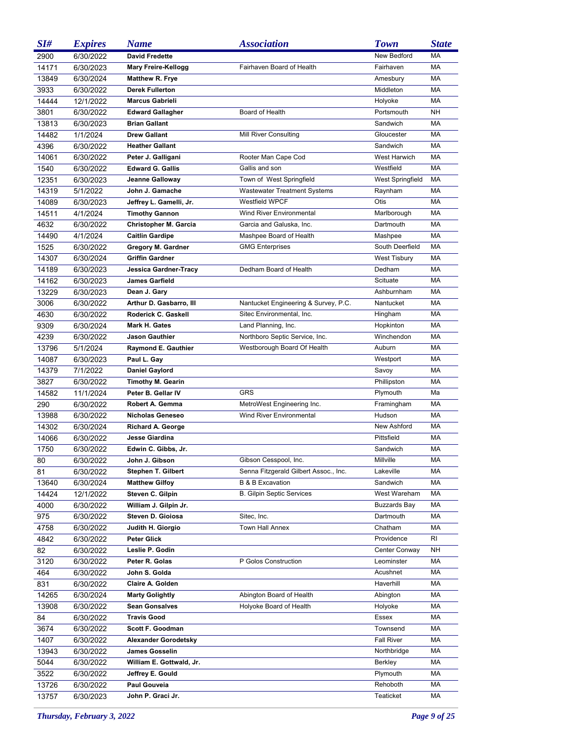| SI#   | <b>Expires</b> | <b>Name</b>                 | <i><b>Association</b></i>             | <b>Town</b>         | <b>State</b> |
|-------|----------------|-----------------------------|---------------------------------------|---------------------|--------------|
| 2900  | 6/30/2022      | <b>David Fredette</b>       |                                       | New Bedford         | MA           |
| 14171 | 6/30/2023      | <b>Mary Freire-Kellogg</b>  | Fairhaven Board of Health             | Fairhaven           | MA           |
| 13849 | 6/30/2024      | Matthew R. Frye             |                                       | Amesbury            | MA           |
| 3933  | 6/30/2022      | <b>Derek Fullerton</b>      |                                       | Middleton           | <b>MA</b>    |
| 14444 | 12/1/2022      | <b>Marcus Gabrieli</b>      |                                       | Holyoke             | MA           |
| 3801  | 6/30/2022      | <b>Edward Gallagher</b>     | Board of Health                       | Portsmouth          | <b>NH</b>    |
| 13813 | 6/30/2023      | <b>Brian Gallant</b>        |                                       | Sandwich            | MA           |
| 14482 | 1/1/2024       | <b>Drew Gallant</b>         | Mill River Consulting                 | Gloucester          | MA           |
| 4396  | 6/30/2022      | <b>Heather Gallant</b>      |                                       | Sandwich            | <b>MA</b>    |
| 14061 | 6/30/2022      | Peter J. Galligani          | Rooter Man Cape Cod                   | West Harwich        | MA           |
| 1540  | 6/30/2022      | <b>Edward G. Gallis</b>     | Gallis and son                        | Westfield           | <b>MA</b>    |
| 12351 | 6/30/2023      | Jeanne Galloway             | Town of West Springfield              | West Springfield    | MA           |
| 14319 | 5/1/2022       | John J. Gamache             | <b>Wastewater Treatment Systems</b>   | Raynham             | MA           |
| 14089 | 6/30/2023      | Jeffrey L. Gamelli, Jr.     | <b>Westfield WPCF</b>                 | Otis                | MA           |
| 14511 | 4/1/2024       | <b>Timothy Gannon</b>       | Wind River Environmental              | Marlborough         | MA           |
| 4632  | 6/30/2022      | Christopher M. Garcia       | Garcia and Galuska, Inc.              | Dartmouth           | MA           |
| 14490 | 4/1/2024       | <b>Caitlin Gardipe</b>      | Mashpee Board of Health               | Mashpee             | MA           |
| 1525  | 6/30/2022      | <b>Gregory M. Gardner</b>   | <b>GMG Enterprises</b>                | South Deerfield     | MA           |
| 14307 | 6/30/2024      | <b>Griffin Gardner</b>      |                                       | <b>West Tisbury</b> | MA           |
| 14189 | 6/30/2023      | Jessica Gardner-Tracy       | Dedham Board of Health                | Dedham              | MA           |
| 14162 | 6/30/2023      | James Garfield              |                                       | Scituate            | MA           |
| 13229 | 6/30/2023      | Dean J. Gary                |                                       | Ashburnham          | MA           |
| 3006  | 6/30/2022      | Arthur D. Gasbarro, III     | Nantucket Engineering & Survey, P.C.  | Nantucket           | MA           |
| 4630  | 6/30/2022      | Roderick C. Gaskell         | Sitec Environmental, Inc.             | Hingham             | MA           |
| 9309  | 6/30/2024      | Mark H. Gates               | Land Planning, Inc.                   | Hopkinton           | МA           |
| 4239  | 6/30/2022      | Jason Gauthier              | Northboro Septic Service, Inc.        | Winchendon          | MA           |
| 13796 | 5/1/2024       | <b>Raymond E. Gauthier</b>  | Westborough Board Of Health           | Auburn              | МA           |
| 14087 | 6/30/2023      | Paul L. Gay                 |                                       | Westport            | MA           |
| 14379 | 7/1/2022       | <b>Daniel Gaylord</b>       |                                       | Savoy               | MA           |
| 3827  | 6/30/2022      | <b>Timothy M. Gearin</b>    |                                       | Phillipston         | МA           |
| 14582 | 11/1/2024      | Peter B. Gellar IV          | <b>GRS</b>                            | Plymouth            | Ma           |
| 290   | 6/30/2022      | Robert A. Gemma             | MetroWest Engineering Inc.            | Framingham          | МA           |
| 13988 | 6/30/2022      | <b>Nicholas Geneseo</b>     | Wind River Environmental              | Hudson              | MA           |
| 14302 | 6/30/2024      | <b>Richard A. George</b>    |                                       | New Ashford         | MA           |
| 14066 | 6/30/2022      | <b>Jesse Giardina</b>       |                                       | Pittsfield          | МA           |
| 1750  | 6/30/2022      | Edwin C. Gibbs, Jr.         |                                       | Sandwich            | MA           |
| 80    | 6/30/2022      | John J. Gibson              | Gibson Cesspool, Inc.                 | Millville           | МA           |
| 81    | 6/30/2022      | Stephen T. Gilbert          | Senna Fitzgerald Gilbert Assoc., Inc. | Lakeville           | МA           |
| 13640 | 6/30/2024      | <b>Matthew Gilfoy</b>       | <b>B &amp; B Excavation</b>           | Sandwich            | МA           |
| 14424 | 12/1/2022      | Steven C. Gilpin            | <b>B. Gilpin Septic Services</b>      | West Wareham        | МA           |
| 4000  | 6/30/2022      | William J. Gilpin Jr.       |                                       | <b>Buzzards Bay</b> | МA           |
| 975   | 6/30/2022      | Steven D. Gioiosa           | Sitec, Inc.                           | Dartmouth           | МA           |
| 4758  | 6/30/2022      | Judith H. Giorgio           | <b>Town Hall Annex</b>                | Chatham             | МA           |
| 4842  | 6/30/2022      | <b>Peter Glick</b>          |                                       | Providence          | RI           |
| 82    | 6/30/2022      | Leslie P. Godin             |                                       | Center Conway       | NΗ           |
| 3120  | 6/30/2022      | Peter R. Golas              | P Golos Construction                  | Leominster          | МA           |
| 464   | 6/30/2022      | John S. Golda               |                                       | Acushnet            | МA           |
| 831   | 6/30/2022      | Claire A. Golden            |                                       | Haverhill           | МA           |
| 14265 | 6/30/2024      | <b>Marty Golightly</b>      | Abington Board of Health              | Abington            | МA           |
| 13908 | 6/30/2022      | <b>Sean Gonsalves</b>       | Holyoke Board of Health               | Holyoke             | МA           |
| 84    | 6/30/2022      | <b>Travis Good</b>          |                                       | Essex               | МA           |
| 3674  | 6/30/2022      | Scott F. Goodman            |                                       | Townsend            | МA           |
| 1407  | 6/30/2022      | <b>Alexander Gorodetsky</b> |                                       | Fall River          | МA           |
| 13943 | 6/30/2022      | <b>James Gosselin</b>       |                                       | Northbridge         | МA           |
| 5044  | 6/30/2022      | William E. Gottwald, Jr.    |                                       | Berkley             | МA           |
| 3522  | 6/30/2022      | Jeffrey E. Gould            |                                       | Plymouth            | МA           |
| 13726 | 6/30/2022      | Paul Gouveia                |                                       | Rehoboth            | МA           |
| 13757 | 6/30/2023      | John P. Graci Jr.           |                                       | Teaticket           | МA           |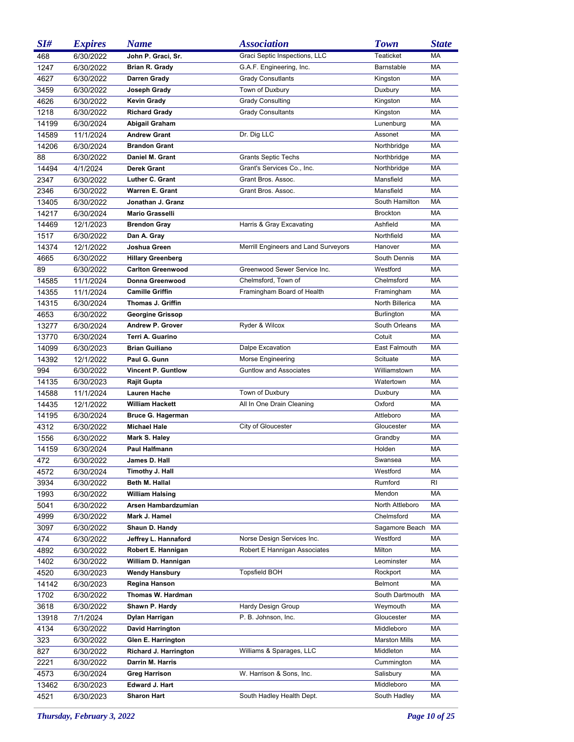| SI#        | <b>Expires</b>         | <b>Name</b>                               | <i><b>Association</b></i>            | <b>Town</b>              | <b>State</b> |
|------------|------------------------|-------------------------------------------|--------------------------------------|--------------------------|--------------|
| 468        | 6/30/2022              | John P. Graci, Sr.                        | Graci Septic Inspections, LLC        | Teaticket                | MA           |
| 1247       | 6/30/2022              | Brian R. Grady                            | G.A.F. Engineering, Inc.             | Barnstable               | MA           |
| 4627       | 6/30/2022              | Darren Grady                              | <b>Grady Consutlants</b>             | Kingston                 | MA           |
| 3459       | 6/30/2022              | Joseph Grady                              | Town of Duxbury                      | Duxbury                  | MA           |
| 4626       | 6/30/2022              | Kevin Grady                               | <b>Grady Consulting</b>              | Kingston                 | MA           |
| 1218       | 6/30/2022              | <b>Richard Grady</b>                      | <b>Grady Consultants</b>             | Kingston                 | MA           |
| 14199      | 6/30/2024              | Abigail Graham                            |                                      | Lunenburg                | MA           |
| 14589      | 11/1/2024              | <b>Andrew Grant</b>                       | Dr. Dig LLC                          | Assonet                  | MA           |
| 14206      | 6/30/2024              | <b>Brandon Grant</b>                      |                                      | Northbridge              | MA           |
| 88         | 6/30/2022              | Daniel M. Grant                           | Grants Septic Techs                  | Northbridge              | MA           |
| 14494      | 4/1/2024               | Derek Grant                               | Grant's Services Co., Inc.           | Northbridge              | MA           |
| 2347       | 6/30/2022              | Luther C. Grant                           | Grant Bros. Assoc.                   | Mansfield                | MA           |
| 2346       | 6/30/2022              | Warren E. Grant                           | Grant Bros. Assoc.                   | Mansfield                | МA           |
| 13405      | 6/30/2022              | Jonathan J. Granz                         |                                      | South Hamilton           | МA           |
| 14217      | 6/30/2024              | Mario Grasselli                           |                                      | <b>Brockton</b>          | MA           |
| 14469      | 12/1/2023              | <b>Brendon Gray</b>                       | Harris & Gray Excavating             | Ashfield                 | МA           |
| 1517       | 6/30/2022              | Dan A. Gray                               |                                      | Northfield               | МA           |
| 14374      | 12/1/2022              | Joshua Green                              | Merrill Engineers and Land Surveyors | Hanover                  | МA           |
| 4665       | 6/30/2022              | <b>Hillary Greenberg</b>                  |                                      | South Dennis             | МA           |
| 89         | 6/30/2022              | <b>Carlton Greenwood</b>                  | Greenwood Sewer Service Inc.         | Westford                 | MA           |
| 14585      | 11/1/2024              | Donna Greenwood                           | Chelmsford, Town of                  | Chelmsford               | МA           |
| 14355      | 11/1/2024              | <b>Camille Griffin</b>                    | Framingham Board of Health           | Framingham               | МA           |
| 14315      | 6/30/2024              | <b>Thomas J. Griffin</b>                  |                                      | North Billerica          | MA           |
| 4653       | 6/30/2022              | <b>Georgine Grissop</b>                   |                                      | Burlington               | МA           |
| 13277      | 6/30/2024              | Andrew P. Grover                          | Ryder & Wilcox                       | South Orleans            | МA           |
| 13770      | 6/30/2024              | Terri A. Guarino                          |                                      | Cotuit                   | MA           |
| 14099      | 6/30/2023              | <b>Brian Guiliano</b>                     | Dalpe Excavation                     | East Falmouth            | МA           |
| 14392      | 12/1/2022              | Paul G. Gunn                              | Morse Engineering                    | Scituate                 | MA           |
| 994        | 6/30/2022              | <b>Vincent P. Guntlow</b>                 | <b>Guntlow and Associates</b>        | Williamstown             | МA           |
| 14135      | 6/30/2023              | <b>Rajit Gupta</b>                        |                                      | Watertown                | МA           |
| 14588      | 11/1/2024              | Lauren Hache                              | Town of Duxbury                      | Duxbury                  | МA           |
| 14435      | 12/1/2022              | William Hackett                           | All In One Drain Cleaning            | Oxford                   | МA           |
| 14195      | 6/30/2024              | <b>Bruce G. Hagerman</b>                  |                                      | Attleboro                | МA           |
| 4312       | 6/30/2022              | <b>Michael Hale</b>                       | City of Gloucester                   | Gloucester               | МA           |
| 1556       | 6/30/2022              | Mark S. Haley                             |                                      | Grandby                  | МA           |
| 14159      | 6/30/2024              | Paul Halfmann                             |                                      | Holden                   | МA           |
| 472        | 6/30/2022              | James D. Hall                             |                                      | Swansea                  | МA           |
| 4572       | 6/30/2024              | Timothy J. Hall                           |                                      | Westford                 | МA           |
| 3934       | 6/30/2022              | Beth M. Hallal                            |                                      | Rumford                  | RI           |
| 1993       | 6/30/2022              | William Halsing                           |                                      | Mendon                   | МA           |
| 5041       | 6/30/2022              | Arsen Hambardzumian                       |                                      | North Attleboro          | МA           |
| 4999       | 6/30/2022              | Mark J. Hamel                             |                                      | Chelmsford               | МA           |
| 3097       | 6/30/2022              | Shaun D. Handy                            |                                      | Sagamore Beach           | МA           |
| 474        | 6/30/2022              | Jeffrey L. Hannaford                      | Norse Design Services Inc.           | Westford                 | МA           |
| 4892       | 6/30/2022              | Robert E. Hannigan                        | Robert E Hannigan Associates         | Milton                   | МA           |
| 1402       | 6/30/2022              | William D. Hannigan                       |                                      | Leominster               | МA           |
| 4520       | 6/30/2023              | <b>Wendy Hansbury</b>                     | <b>Topsfield BOH</b>                 | Rockport                 | МA           |
| 14142      | 6/30/2023              | Regina Hanson                             |                                      | <b>Belmont</b>           | МA           |
| 1702       | 6/30/2022              | Thomas W. Hardman                         |                                      | South Dartmouth          | МA           |
| 3618       | 6/30/2022              | Shawn P. Hardy                            | Hardy Design Group                   | Weymouth                 | МA<br>МA     |
| 13918      | 7/1/2024               | Dylan Harrigan<br><b>David Harrington</b> | P. B. Johnson, Inc.                  | Gloucester<br>Middleboro | МA           |
| 4134       | 6/30/2022              | Glen E. Harrington                        |                                      | <b>Marston Mills</b>     | МA           |
| 323<br>827 | 6/30/2022<br>6/30/2022 | Richard J. Harrington                     | Williams & Sparages, LLC             | Middleton                | МA           |
| 2221       | 6/30/2022              | Darrin M. Harris                          |                                      | Cummington               | МA           |
| 4573       |                        | Greg Harrison                             | W. Harrison & Sons, Inc.             | Salisbury                | МA           |
|            | 6/30/2024              | Edward J. Hart                            |                                      | Middleboro               | МA           |
| 13462      | 6/30/2023              | <b>Sharon Hart</b>                        | South Hadley Health Dept.            | South Hadley             | МA           |
| 4521       | 6/30/2023              |                                           |                                      |                          |              |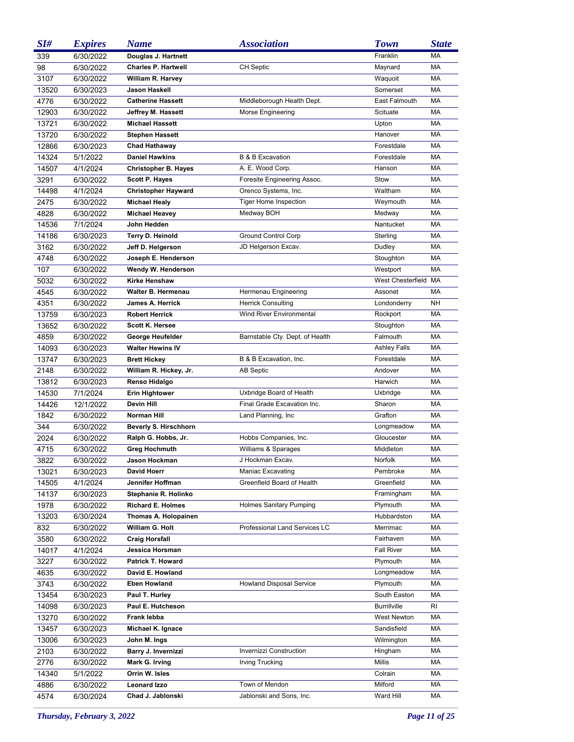| SI#   | <b>Expires</b>         | <b>Name</b>                 | <b>Association</b>              | <b>Town</b>          | <b>State</b> |
|-------|------------------------|-----------------------------|---------------------------------|----------------------|--------------|
| 339   | 6/30/2022              | Douglas J. Hartnett         |                                 | Franklin             | MA           |
| 98    | 6/30/2022              | <b>Charles P. Hartwell</b>  | <b>CH Septic</b>                | Maynard              | MA           |
| 3107  | 6/30/2022              | William R. Harvey           |                                 | Waquoit              | MA           |
| 13520 | 6/30/2023              | Jason Haskell               |                                 | Somerset             | MA           |
| 4776  | 6/30/2022              | <b>Catherine Hassett</b>    | Middleborough Health Dept.      | East Falmouth        | <b>MA</b>    |
| 12903 | 6/30/2022              | Jeffrey M. Hassett          | Morse Engineering               | Scituate             | MA           |
| 13721 | 6/30/2022              | <b>Michael Hassett</b>      |                                 | Upton                | MA           |
| 13720 | 6/30/2022              | <b>Stephen Hassett</b>      |                                 | Hanover              | MA           |
| 12866 | 6/30/2023              | <b>Chad Hathaway</b>        |                                 | Forestdale           | MA           |
| 14324 | 5/1/2022               | <b>Daniel Hawkins</b>       | <b>B &amp; B Excavation</b>     | Forestdale           | <b>MA</b>    |
| 14507 | 4/1/2024               | <b>Christopher B. Hayes</b> | A. E. Wood Corp.                | Hanson               | MA           |
| 3291  | 6/30/2022              | <b>Scott P. Hayes</b>       | Foresite Engineering Assoc.     | Stow                 | MA           |
| 14498 | 4/1/2024               | <b>Christopher Hayward</b>  | Orenco Systems, Inc.            | Waltham              | MA           |
| 2475  | 6/30/2022              | <b>Michael Healy</b>        | <b>Tiger Home Inspection</b>    | Weymouth             | MA           |
| 4828  | 6/30/2022              | <b>Michael Heavey</b>       | Medway BOH                      | Medway               | MA           |
| 14536 | 7/1/2024               | John Hedden                 |                                 | Nantucket            | MA           |
| 14186 | 6/30/2023              | Terry D. Heinold            | <b>Ground Control Corp</b>      | Sterling             | MA           |
| 3162  | 6/30/2022              | Jeff D. Helgerson           | JD Helgerson Excav.             | Dudley               | MA           |
| 4748  | 6/30/2022              | Joseph E. Henderson         |                                 | Stoughton            | MA           |
| 107   | 6/30/2022              | Wendy W. Henderson          |                                 | Westport             | MA           |
| 5032  | 6/30/2022              | <b>Kirke Henshaw</b>        |                                 | West Chesterfield MA |              |
| 4545  | 6/30/2022              | Walter B. Hermenau          | Hermenau Engineering            | Assonet              | MA           |
| 4351  | 6/30/2022              | James A. Herrick            | <b>Herrick Consulting</b>       | Londonderry          | <b>NH</b>    |
| 13759 | 6/30/2023              | <b>Robert Herrick</b>       | Wind River Environmental        | Rockport             | МA           |
| 13652 | 6/30/2022              | <b>Scott K. Hersee</b>      |                                 | Stoughton            | МA           |
| 4859  | 6/30/2022              | George Heufelder            | Barnstable Cty. Dept. of Health | Falmouth             | MA           |
| 14093 | 6/30/2023              | <b>Walter Hewins IV</b>     |                                 | <b>Ashley Falls</b>  | МA           |
| 13747 | 6/30/2023              | <b>Brett Hickey</b>         | B & B Excavation, Inc.          | Forestdale           | MA           |
| 2148  | 6/30/2022              | William R. Hickey, Jr.      | <b>AB Septic</b>                | Andover              | MA           |
| 13812 | 6/30/2023              | Renso Hidalgo               |                                 | Harwich              | МA           |
| 14530 | 7/1/2024               | <b>Erin Hightower</b>       | Uxbridge Board of Health        | Uxbridge             | MA           |
| 14426 | 12/1/2022              | Devin Hill                  | Final Grade Excavation Inc.     | Sharon               | МA           |
| 1842  | 6/30/2022              | Norman Hill                 | Land Planning, Inc.             | Grafton              | МA           |
| 344   | 6/30/2022              | Beverly S. Hirschhorn       |                                 | Longmeadow           | МA           |
| 2024  | 6/30/2022              | Ralph G. Hobbs, Jr.         | Hobbs Companies, Inc.           | Gloucester           | МA           |
| 4715  | 6/30/2022              | <b>Greg Hochmuth</b>        | Williams & Sparages             | Middleton            | МA           |
| 3822  | 6/30/2022              | Jason Hockman               | J Hockman Excav.                | Norfolk              | МA           |
| 13021 | 6/30/2023              | David Hoerr                 | Maniac Excavating               | Pembroke             | МA           |
| 14505 | 4/1/2024               | Jennifer Hoffman            | Greenfield Board of Health      | Greenfield           | МA           |
| 14137 | 6/30/2023              | Stephanie R. Holinko        |                                 | Framingham           | МA           |
| 1978  | 6/30/2022              | <b>Richard E. Holmes</b>    | Holmes Sanitary Pumping         | Plymouth             | МA           |
| 13203 | 6/30/2024              | Thomas A. Holopainen        |                                 | Hubbardston          | МA           |
| 832   | 6/30/2022              | William G. Holt             | Professional Land Services LC   | Merrimac             | МA           |
| 3580  | 6/30/2022              | <b>Craig Horsfall</b>       |                                 | Fairhaven            | МA           |
| 14017 | 4/1/2024               | Jessica Horsman             |                                 | <b>Fall River</b>    | МA           |
| 3227  | 6/30/2022              | <b>Patrick T. Howard</b>    |                                 | Plymouth             | МA           |
| 4635  | 6/30/2022              | David E. Howland            |                                 | Longmeadow           | МA           |
| 3743  | 6/30/2022              | <b>Eben Howland</b>         | <b>Howland Disposal Service</b> | Plymouth             | МA           |
| 13454 |                        | Paul T. Hurley              |                                 | South Easton         | МA           |
| 14098 | 6/30/2023<br>6/30/2023 | Paul E. Hutcheson           |                                 | <b>Burrillville</b>  | RI           |
|       |                        | Frank lebba                 |                                 | <b>West Newton</b>   | МA           |
| 13270 | 6/30/2022              |                             |                                 | Sandisfield          | МA           |
| 13457 | 6/30/2023              | Michael K. Ignace           |                                 |                      |              |
| 13006 | 6/30/2023              | John M. Ings                |                                 | Wilmington           | МA           |
| 2103  | 6/30/2022              | Barry J. Invernizzi         | Invernizzi Construction         | Hingham              | МA           |
| 2776  | 6/30/2022              | Mark G. Irving              | Irving Trucking                 | Millis               | МA           |
| 14340 | 5/1/2022               | Orrin W. Isles              |                                 | Colrain              | МA           |
| 4886  | 6/30/2022              | <b>Leonard Izzo</b>         | Town of Mendon                  | Milford              | МA           |
| 4574  | 6/30/2024              | Chad J. Jablonski           | Jablonski and Sons, Inc.        | Ward Hill            | МA           |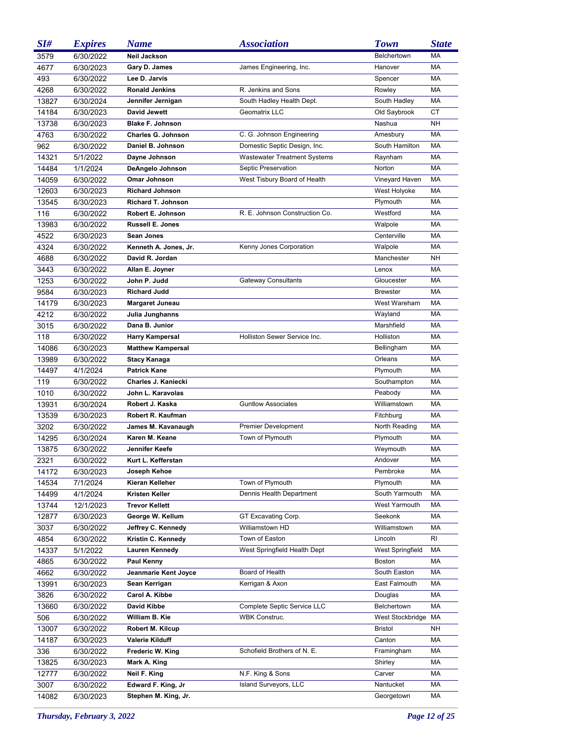| SI#   | <b>Expires</b> | <b>Name</b>               | <b>Association</b>                  | <b>Town</b>             | <b>State</b> |
|-------|----------------|---------------------------|-------------------------------------|-------------------------|--------------|
| 3579  | 6/30/2022      | Neil Jackson              |                                     | Belchertown             | MA           |
| 4677  | 6/30/2023      | Gary D. James             | James Engineering, Inc.             | Hanover                 | MA           |
| 493   | 6/30/2022      | Lee D. Jarvis             |                                     | Spencer                 | МA           |
| 4268  | 6/30/2022      | <b>Ronald Jenkins</b>     | R. Jenkins and Sons                 | Rowley                  | МA           |
| 13827 | 6/30/2024      | Jennifer Jernigan         | South Hadley Health Dept.           | South Hadley            | МA           |
| 14184 | 6/30/2023      | <b>David Jewett</b>       | Geomatrix LLC                       | Old Saybrook            | <b>CT</b>    |
| 13738 | 6/30/2023      | <b>Blake F. Johnson</b>   |                                     | Nashua                  | <b>NH</b>    |
| 4763  | 6/30/2022      | <b>Charles G. Johnson</b> | C. G. Johnson Engineering           | Amesbury                | МA           |
| 962   | 6/30/2022      | Daniel B. Johnson         | Domestic Septic Design, Inc.        | South Hamilton          | МA           |
| 14321 | 5/1/2022       | Dayne Johnson             | <b>Wastewater Treatment Systems</b> | Raynham                 | MA           |
| 14484 | 1/1/2024       | DeAngelo Johnson          | Septic Preservation                 | Norton                  | МA           |
| 14059 | 6/30/2022      | Omar Johnson              | West Tisbury Board of Health        | Vineyard Haven          | МA           |
| 12603 | 6/30/2023      | <b>Richard Johnson</b>    |                                     | West Holyoke            | MA           |
| 13545 | 6/30/2023      | <b>Richard T. Johnson</b> |                                     | Plymouth                | MA           |
| 116   | 6/30/2022      | Robert E. Johnson         | R. E. Johnson Construction Co.      | Westford                | MA           |
| 13983 | 6/30/2022      | Russell E. Jones          |                                     | Walpole                 | MA           |
| 4522  | 6/30/2023      | Sean Jones                |                                     | Centerville             | <b>MA</b>    |
| 4324  | 6/30/2022      | Kenneth A. Jones, Jr.     | Kenny Jones Corporation             | Walpole                 | MA           |
| 4688  | 6/30/2022      | David R. Jordan           |                                     | Manchester              | <b>NH</b>    |
| 3443  | 6/30/2022      | Allan E. Joyner           |                                     | Lenox                   | MA           |
| 1253  | 6/30/2022      | John P. Judd              | <b>Gateway Consultants</b>          | Gloucester              | MA           |
| 9584  | 6/30/2023      | <b>Richard Judd</b>       |                                     | <b>Brewster</b>         | MA           |
| 14179 | 6/30/2023      | Margaret Juneau           |                                     | West Wareham            | <b>MA</b>    |
| 4212  | 6/30/2022      | Julia Junghanns           |                                     | Wayland                 | MA           |
| 3015  | 6/30/2022      | Dana B. Junior            |                                     | Marshfield              | <b>MA</b>    |
| 118   | 6/30/2022      | <b>Harry Kampersal</b>    | Holliston Sewer Service Inc.        | Holliston               | MA           |
| 14086 | 6/30/2023      | <b>Matthew Kampersal</b>  |                                     | Bellingham              | МA           |
| 13989 | 6/30/2022      | <b>Stacy Kanaga</b>       |                                     | Orleans                 | <b>MA</b>    |
| 14497 | 4/1/2024       | <b>Patrick Kane</b>       |                                     | Plymouth                | MA           |
| 119   | 6/30/2022      | Charles J. Kaniecki       |                                     | Southampton             | <b>MA</b>    |
| 1010  | 6/30/2022      | John L. Karavolas         |                                     | Peabody                 | МA           |
| 13931 | 6/30/2024      | Robert J. Kaska           | <b>Guntlow Associates</b>           | Williamstown            | MA           |
| 13539 | 6/30/2023      | Robert R. Kaufman         |                                     | Fitchburg               | МA           |
| 3202  | 6/30/2022      | James M. Kavanaugh        | <b>Premier Development</b>          | North Reading           | МA           |
| 14295 | 6/30/2024      | Karen M. Keane            | Town of Plymouth                    | Plymouth                | MA           |
| 13875 | 6/30/2022      | Jennifer Keefe            |                                     | Weymouth                | МA           |
| 2321  | 6/30/2022      | Kurt L. Kefferstan        |                                     | Andover                 | МA           |
| 14172 | 6/30/2023      | Joseph Kehoe              |                                     | Pembroke                | МA           |
| 14534 | 7/1/2024       | Kieran Kelleher           | Town of Plymouth                    | Plymouth                | МA           |
| 14499 | 4/1/2024       | <b>Kristen Keller</b>     | Dennis Health Department            | South Yarmouth          | МA           |
| 13744 | 12/1/2023      | <b>Trevor Kellett</b>     |                                     | West Yarmouth           | МA           |
| 12877 | 6/30/2023      | George W. Kellum          | GT Excavating Corp.                 | Seekonk                 | МA           |
| 3037  | 6/30/2022      | Jeffrey C. Kennedy        | Williamstown HD                     | Williamstown            | MA           |
| 4854  | 6/30/2022      | Kristin C. Kennedy        | Town of Easton                      | Lincoln                 | RI           |
| 14337 | 5/1/2022       | Lauren Kennedy            | West Springfield Health Dept        | <b>West Springfield</b> | МA           |
| 4865  | 6/30/2022      | Paul Kenny                |                                     | <b>Boston</b>           | МA           |
| 4662  | 6/30/2022      | Jeanmarie Kent Joyce      | Board of Health                     | South Easton            | МA           |
| 13991 | 6/30/2023      | Sean Kerrigan             | Kerrigan & Axon                     | East Falmouth           | МA           |
| 3826  | 6/30/2022      | Carol A. Kibbe            |                                     | Douglas                 | МA           |
| 13660 | 6/30/2022      | David Kibbe               | Complete Septic Service LLC         | Belchertown             | МA           |
| 506   | 6/30/2022      | William B. Kie            | <b>WBK Construc.</b>                | West Stockbridge        | МA           |
| 13007 | 6/30/2022      | Robert M. Kilcup          |                                     | <b>Bristol</b>          | NΗ           |
| 14187 | 6/30/2023      | Valerie Kilduff           |                                     | Canton                  | МA           |
| 336   | 6/30/2022      | Frederic W. King          | Schofield Brothers of N. E.         | Framingham              | МA           |
| 13825 | 6/30/2023      | Mark A. King              |                                     | Shirley                 | МA           |
| 12777 | 6/30/2022      | Neil F. King              | N.F. King & Sons                    | Carver                  | МA           |
| 3007  | 6/30/2022      | Edward F. King, Jr        | Island Surveyors, LLC               | Nantucket               | МA           |
| 14082 | 6/30/2023      | Stephen M. King, Jr.      |                                     | Georgetown              | MA           |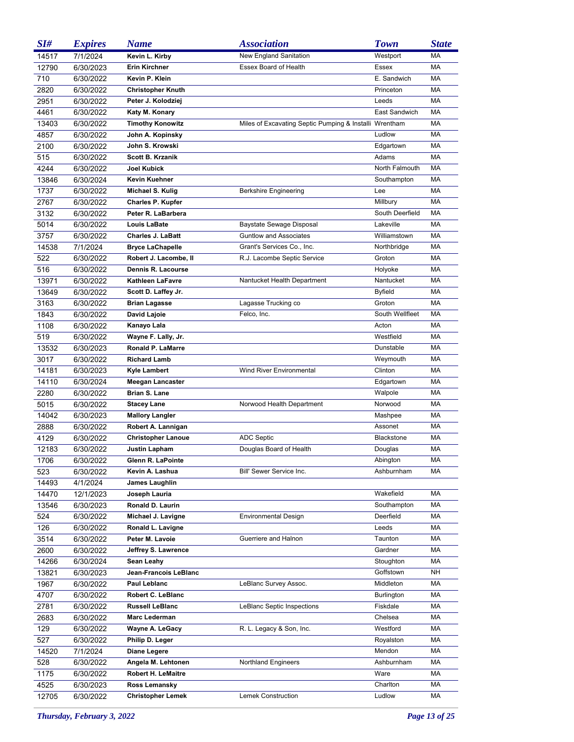| SI#   | <b>Expires</b> | <b>Name</b>               | <i><b>Association</b></i>                              | <b>Town</b>       | <b>State</b> |
|-------|----------------|---------------------------|--------------------------------------------------------|-------------------|--------------|
| 14517 | 7/1/2024       | Kevin L. Kirby            | New England Sanitation                                 | Westport          | <b>MA</b>    |
| 12790 | 6/30/2023      | Erin Kirchner             | Essex Board of Health                                  | Essex             | МA           |
| 710   | 6/30/2022      | Kevin P. Klein            |                                                        | E. Sandwich       | МA           |
| 2820  | 6/30/2022      | <b>Christopher Knuth</b>  |                                                        | Princeton         | МA           |
| 2951  | 6/30/2022      | Peter J. Kolodziej        |                                                        | Leeds             | МA           |
| 4461  | 6/30/2022      | Katy M. Konary            |                                                        | East Sandwich     | МA           |
| 13403 | 6/30/2022      | <b>Timothy Konowitz</b>   | Miles of Excavating Septic Pumping & Installi Wrentham |                   | МA           |
| 4857  | 6/30/2022      | John A. Kopinsky          |                                                        | Ludlow            | МA           |
| 2100  | 6/30/2022      | John S. Krowski           |                                                        | Edgartown         | МA           |
| 515   | 6/30/2022      | <b>Scott B. Krzanik</b>   |                                                        | Adams             | МA           |
| 4244  | 6/30/2022      | Joel Kubick               |                                                        | North Falmouth    | МA           |
| 13846 | 6/30/2024      | Kevin Kuehner             |                                                        | Southampton       | МA           |
| 1737  | 6/30/2022      | Michael S. Kulig          | <b>Berkshire Engineering</b>                           | Lee               | МA           |
| 2767  | 6/30/2022      | <b>Charles P. Kupfer</b>  |                                                        | Millbury          | МA           |
| 3132  | 6/30/2022      | Peter R. LaBarbera        |                                                        | South Deerfield   | МA           |
| 5014  | 6/30/2022      | Louis LaBate              | Baystate Sewage Disposal                               | Lakeville         | MA           |
| 3757  | 6/30/2022      | <b>Charles J. LaBatt</b>  | <b>Guntlow and Associates</b>                          | Williamstown      | МA           |
| 14538 | 7/1/2024       | <b>Bryce LaChapelle</b>   | Grant's Services Co., Inc.                             | Northbridge       | МA           |
| 522   | 6/30/2022      | Robert J. Lacombe, II     | R.J. Lacombe Septic Service                            | Groton            | МA           |
| 516   | 6/30/2022      | Dennis R. Lacourse        |                                                        | Holyoke           | МA           |
| 13971 | 6/30/2022      | Kathleen LaFavre          | Nantucket Health Department                            | Nantucket         | МA           |
| 13649 | 6/30/2022      | Scott D. Laffey Jr.       |                                                        | <b>Byfield</b>    | MA           |
| 3163  | 6/30/2022      | <b>Brian Lagasse</b>      | Lagasse Trucking co                                    | Groton            | МA           |
| 1843  | 6/30/2022      | David Lajoie              | Felco, Inc.                                            | South Wellfleet   | МA           |
| 1108  | 6/30/2022      | Kanayo Lala               |                                                        | Acton             | MA           |
| 519   | 6/30/2022      | Wayne F. Lally, Jr.       |                                                        | Westfield         | МA           |
| 13532 | 6/30/2023      | Ronald P. LaMarre         |                                                        | Dunstable         | МA           |
| 3017  | 6/30/2022      | <b>Richard Lamb</b>       |                                                        | Weymouth          | МA           |
| 14181 | 6/30/2023      | Kyle Lambert              | Wind River Environmental                               | Clinton           | МA           |
| 14110 | 6/30/2024      | <b>Meegan Lancaster</b>   |                                                        | Edgartown         | МA           |
| 2280  | 6/30/2022      | Brian S. Lane             |                                                        | Walpole           | МA           |
| 5015  | 6/30/2022      | <b>Stacey Lane</b>        | Norwood Health Department                              | Norwood           | МA           |
| 14042 | 6/30/2023      | <b>Mallory Langler</b>    |                                                        | Mashpee           | МA           |
| 2888  | 6/30/2022      | Robert A. Lannigan        |                                                        | Assonet           | МA           |
| 4129  | 6/30/2022      | <b>Christopher Lanoue</b> | <b>ADC Septic</b>                                      | <b>Blackstone</b> | МA           |
| 12183 | 6/30/2022      | Justin Lapham             | Douglas Board of Health                                | Douglas           | МA           |
| 1706  | 6/30/2022      | Glenn R. LaPointe         |                                                        | Abington          | МA           |
| 523   | 6/30/2022      | Kevin A. Lashua           | Bill' Sewer Service Inc.                               | Ashburnham        | МA           |
| 14493 | 4/1/2024       | James Laughlin            |                                                        |                   |              |
| 14470 | 12/1/2023      | Joseph Lauria             |                                                        | Wakefield         | МA           |
| 13546 | 6/30/2023      | Ronald D. Laurin          |                                                        | Southampton       | МA           |
| 524   | 6/30/2022      | Michael J. Lavigne        | <b>Environmental Design</b>                            | Deerfield         | МA           |
| 126   | 6/30/2022      | Ronald L. Lavigne         |                                                        | Leeds             | МA           |
| 3514  | 6/30/2022      | Peter M. Lavoie           | Guerriere and Halnon                                   | Taunton           | МA           |
| 2600  | 6/30/2022      | Jeffrey S. Lawrence       |                                                        | Gardner           | МA           |
| 14266 | 6/30/2024      | Sean Leahy                |                                                        | Stoughton         | МA           |
| 13821 | 6/30/2023      | Jean-Francois LeBlanc     |                                                        | Goffstown         | NH           |
| 1967  | 6/30/2022      | Paul Leblanc              | LeBlanc Survey Assoc.                                  | Middleton         | МA           |
| 4707  | 6/30/2022      | <b>Robert C. LeBlanc</b>  |                                                        | Burlington        | МA           |
| 2781  | 6/30/2022      | <b>Russell LeBlanc</b>    | LeBlanc Septic Inspections                             | Fiskdale          | МA           |
| 2683  | 6/30/2022      | <b>Marc Lederman</b>      |                                                        | Chelsea           | МA           |
| 129   | 6/30/2022      | Wayne A. LeGacy           | R. L. Legacy & Son, Inc.                               | Westford          | МA           |
| 527   | 6/30/2022      | Philip D. Leger           |                                                        | Royalston         | МA           |
| 14520 | 7/1/2024       | Diane Legere              |                                                        | Mendon            | МA           |
| 528   | 6/30/2022      | Angela M. Lehtonen        | <b>Northland Engineers</b>                             | Ashburnham        | МA           |
| 1175  | 6/30/2022      | <b>Robert H. LeMaitre</b> |                                                        | Ware              | МA           |
| 4525  | 6/30/2023      | Ross Lemansky             |                                                        | Charlton          | МA           |
| 12705 | 6/30/2022      | <b>Christopher Lemek</b>  | Lemek Construction                                     | Ludlow            | МA           |

*Thursday, February 3, 2022 Page 13 of 25*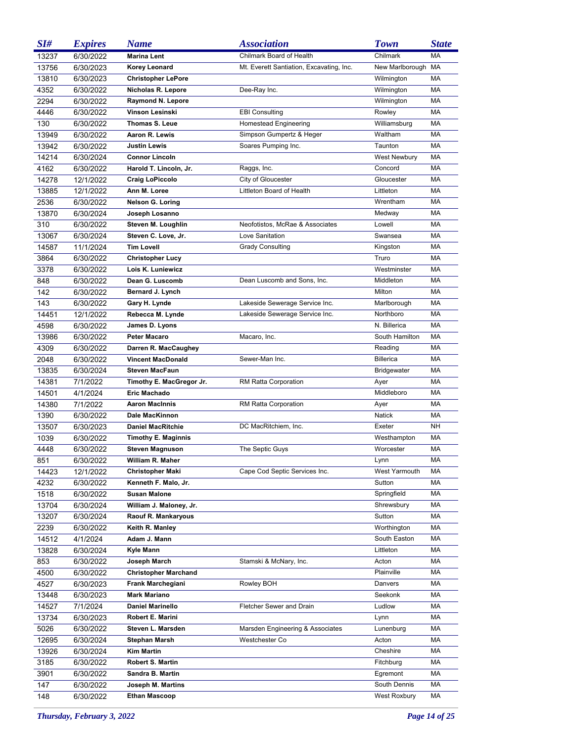| SI#   | <b>Expires</b> | <b>Name</b>                 | <i><b>Association</b></i>                | <b>Town</b>          | <b>State</b> |
|-------|----------------|-----------------------------|------------------------------------------|----------------------|--------------|
| 13237 | 6/30/2022      | <b>Marina Lent</b>          | Chilmark Board of Health                 | Chilmark             | MA           |
| 13756 | 6/30/2023      | Korey Leonard               | Mt. Everett Santiation, Excavating, Inc. | New Marlborough      | МA           |
| 13810 | 6/30/2023      | <b>Christopher LePore</b>   |                                          | Wilmington           | МA           |
| 4352  | 6/30/2022      | Nicholas R. Lepore          | Dee-Ray Inc.                             | Wilmington           | МA           |
| 2294  | 6/30/2022      | Raymond N. Lepore           |                                          | Wilmington           | МA           |
| 4446  | 6/30/2022      | Vinson Lesinski             | <b>EBI Consulting</b>                    | Rowley               | МA           |
| 130   | 6/30/2022      | Thomas S. Leue              | Homestead Engineering                    | Williamsburg         | МA           |
| 13949 | 6/30/2022      | Aaron R. Lewis              | Simpson Gumpertz & Heger                 | Waltham              | МA           |
| 13942 | 6/30/2022      | <b>Justin Lewis</b>         | Soares Pumping Inc.                      | Taunton              | МA           |
| 14214 | 6/30/2024      | <b>Connor Lincoln</b>       |                                          | <b>West Newbury</b>  | МA           |
| 4162  | 6/30/2022      | Harold T. Lincoln, Jr.      | Raggs, Inc.                              | Concord              | МA           |
| 14278 | 12/1/2022      | <b>Craig LoPiccolo</b>      | City of Gloucester                       | Gloucester           | МA           |
| 13885 | 12/1/2022      | Ann M. Loree                | Littleton Board of Health                | Littleton            | МA           |
| 2536  | 6/30/2022      | Nelson G. Loring            |                                          | Wrentham             | MA           |
| 13870 | 6/30/2024      | Joseph Losanno              |                                          | Medway               | МA           |
| 310   | 6/30/2022      | Steven M. Loughlin          | Neofotistos, McRae & Associates          | Lowell               | MA           |
| 13067 | 6/30/2024      | Steven C. Love, Jr.         | Love Sanitation                          | Swansea              | MA           |
| 14587 | 11/1/2024      | <b>Tim Lovell</b>           | <b>Grady Consulting</b>                  | Kingston             | МA           |
| 3864  | 6/30/2022      | <b>Christopher Lucy</b>     |                                          | Truro                | MA           |
| 3378  | 6/30/2022      | Lois K. Luniewicz           |                                          | Westminster          | MA           |
| 848   | 6/30/2022      | Dean G. Luscomb             | Dean Luscomb and Sons, Inc.              | Middleton            | МA           |
| 142   | 6/30/2022      | Bernard J. Lynch            |                                          | Milton               | MA           |
| 143   | 6/30/2022      | Gary H. Lynde               | Lakeside Sewerage Service Inc.           | Marlborough          | МA           |
| 14451 | 12/1/2022      | Rebecca M. Lynde            | Lakeside Sewerage Service Inc.           | Northboro            | МA           |
| 4598  | 6/30/2022      | James D. Lyons              |                                          | N. Billerica         | MA           |
| 13986 | 6/30/2022      | <b>Peter Macaro</b>         | Macaro, Inc.                             | South Hamilton       | МA           |
| 4309  | 6/30/2022      | Darren R. MacCaughey        |                                          | Reading              | МA           |
| 2048  | 6/30/2022      | <b>Vincent MacDonald</b>    | Sewer-Man Inc.                           | <b>Billerica</b>     | MA           |
| 13835 | 6/30/2024      | <b>Steven MacFaun</b>       |                                          | <b>Bridgewater</b>   | МA           |
| 14381 | 7/1/2022       | Timothy E. MacGregor Jr.    | RM Ratta Corporation                     | Ayer                 | МA           |
| 14501 | 4/1/2024       | Eric Machado                |                                          | Middleboro           | MA           |
| 14380 | 7/1/2022       | <b>Aaron MacInnis</b>       | RM Ratta Corporation                     | Ayer                 | МA           |
| 1390  | 6/30/2022      | Dale MacKinnon              |                                          | <b>Natick</b>        | МA           |
| 13507 | 6/30/2023      | <b>Daniel MacRitchie</b>    | DC MacRitchiem, Inc.                     | Exeter               | NΗ           |
| 1039  | 6/30/2022      | <b>Timothy E. Maginnis</b>  |                                          | Westhampton          | МA           |
| 4448  | 6/30/2022      | <b>Steven Magnuson</b>      | The Septic Guys                          | Worcester            | МA           |
| 851   | 6/30/2022      | William R. Maher            |                                          | Lynn                 | МA           |
| 14423 | 12/1/2022      | <b>Christopher Maki</b>     | Cape Cod Septic Services Inc.            | <b>West Yarmouth</b> | МA           |
| 4232  | 6/30/2022      | Kenneth F. Malo, Jr.        |                                          | Sutton               | МA           |
| 1518  | 6/30/2022      | <b>Susan Malone</b>         |                                          | Springfield          | МA           |
| 13704 | 6/30/2024      | William J. Maloney, Jr.     |                                          | Shrewsbury           | МA           |
| 13207 | 6/30/2024      | Raouf R. Mankaryous         |                                          | Sutton               | МA           |
| 2239  | 6/30/2022      | Keith R. Manley             |                                          | Worthington          | МA           |
| 14512 | 4/1/2024       | Adam J. Mann                |                                          | South Easton         | МA           |
| 13828 | 6/30/2024      | Kyle Mann                   |                                          | Littleton            | МA           |
| 853   | 6/30/2022      | Joseph March                | Stamski & McNary, Inc.                   | Acton                | МA           |
| 4500  | 6/30/2022      | <b>Christopher Marchand</b> |                                          | Plainville           | МA           |
| 4527  | 6/30/2023      | Frank Marchegiani           | Rowley BOH                               | Danvers              | МA           |
| 13448 | 6/30/2023      | <b>Mark Mariano</b>         |                                          | Seekonk              | МA           |
| 14527 | 7/1/2024       | <b>Daniel Marinello</b>     | Fletcher Sewer and Drain                 | Ludlow               | МA           |
| 13734 | 6/30/2023      | Robert E. Marini            |                                          | Lynn                 | МA           |
| 5026  | 6/30/2022      | Steven L. Marsden           | Marsden Engineering & Associates         | Lunenburg            | МA           |
| 12695 | 6/30/2024      | Stephan Marsh               | <b>Westchester Co</b>                    | Acton                | МA           |
| 13926 | 6/30/2024      | <b>Kim Martin</b>           |                                          | Cheshire             | МA           |
| 3185  | 6/30/2022      | <b>Robert S. Martin</b>     |                                          | Fitchburg            | МA           |
| 3901  | 6/30/2022      | Sandra B. Martin            |                                          | Egremont             | МA           |
| 147   | 6/30/2022      | Joseph M. Martins           |                                          | South Dennis         | МA           |
| 148   | 6/30/2022      | <b>Ethan Mascoop</b>        |                                          | West Roxbury         | МA           |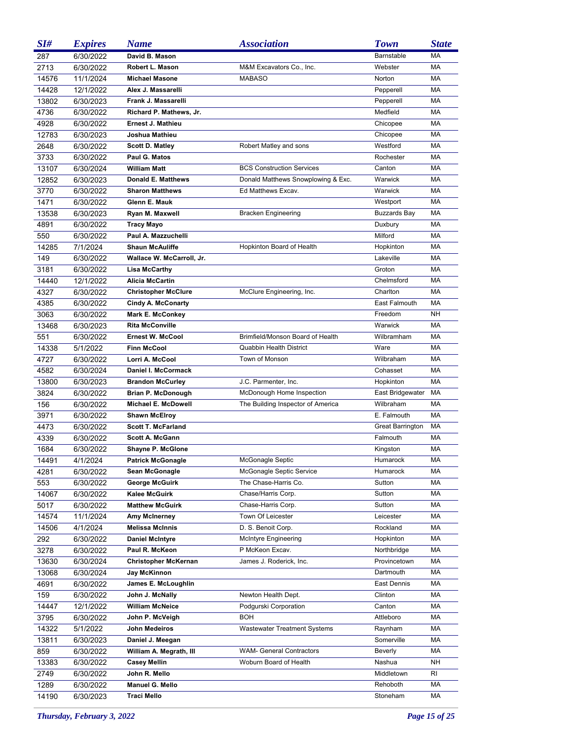| SI#   | <b>Expires</b> | <b>Name</b>                 | <i><b>Association</b></i>           | <b>Town</b>             | <b>State</b> |
|-------|----------------|-----------------------------|-------------------------------------|-------------------------|--------------|
| 287   | 6/30/2022      | David B. Mason              |                                     | Barnstable              | MA           |
| 2713  | 6/30/2022      | Robert L. Mason             | M&M Excavators Co., Inc.            | Webster                 | MA           |
| 14576 | 11/1/2024      | <b>Michael Masone</b>       | <b>MABASO</b>                       | Norton                  | MA           |
| 14428 | 12/1/2022      | Alex J. Massarelli          |                                     | Pepperell               | MA           |
| 13802 | 6/30/2023      | Frank J. Massarelli         |                                     | Pepperell               | MA           |
| 4736  | 6/30/2022      | Richard P. Mathews, Jr.     |                                     | Medfield                | MA           |
| 4928  | 6/30/2022      | Ernest J. Mathieu           |                                     | Chicopee                | MA           |
| 12783 | 6/30/2023      | Joshua Mathieu              |                                     | Chicopee                | MA           |
| 2648  | 6/30/2022      | <b>Scott D. Matley</b>      | Robert Matley and sons              | Westford                | MA           |
| 3733  | 6/30/2022      | Paul G. Matos               |                                     | Rochester               | MA           |
| 13107 | 6/30/2024      | William Matt                | <b>BCS Construction Services</b>    | Canton                  | MA           |
| 12852 | 6/30/2023      | Donald E. Matthews          | Donald Matthews Snowplowing & Exc.  | Warwick                 | МA           |
| 3770  | 6/30/2022      | <b>Sharon Matthews</b>      | Ed Matthews Excav.                  | Warwick                 | МA           |
| 1471  | 6/30/2022      | Glenn E. Mauk               |                                     | Westport                | MA           |
| 13538 | 6/30/2023      | Ryan M. Maxwell             | <b>Bracken Engineering</b>          | <b>Buzzards Bay</b>     | МA           |
| 4891  | 6/30/2022      | Tracy Mayo                  |                                     | Duxbury                 | МA           |
| 550   | 6/30/2022      | Paul A. Mazzuchelli         |                                     | Milford                 | МA           |
| 14285 | 7/1/2024       | <b>Shaun McAuliffe</b>      | Hopkinton Board of Health           | Hopkinton               | МA           |
| 149   | 6/30/2022      | Wallace W. McCarroll, Jr.   |                                     | Lakeville               | МA           |
| 3181  | 6/30/2022      | <b>Lisa McCarthy</b>        |                                     | Groton                  | МA           |
| 14440 | 12/1/2022      | <b>Alicia McCartin</b>      |                                     | Chelmsford              | МA           |
| 4327  | 6/30/2022      | <b>Christopher McClure</b>  | McClure Engineering, Inc.           | Charlton                | МA           |
| 4385  | 6/30/2022      | <b>Cindy A. McConarty</b>   |                                     | East Falmouth           | МA           |
| 3063  | 6/30/2022      | <b>Mark E. McConkey</b>     |                                     | Freedom                 | <b>NH</b>    |
| 13468 | 6/30/2023      | <b>Rita McConville</b>      |                                     | Warwick                 | МA           |
| 551   | 6/30/2022      | <b>Ernest W. McCool</b>     | Brimfield/Monson Board of Health    | Wilbramham              | МA           |
| 14338 | 5/1/2022       | <b>Finn McCool</b>          | <b>Quabbin Health District</b>      | Ware                    | МA           |
| 4727  | 6/30/2022      | Lorri A. McCool             | Town of Monson                      | Wilbraham               | МA           |
| 4582  | 6/30/2024      | Daniel I. McCormack         |                                     | Cohasset                | МA           |
| 13800 | 6/30/2023      | <b>Brandon McCurley</b>     | J.C. Parmenter, Inc.                | Hopkinton               | MA           |
| 3824  | 6/30/2022      | <b>Brian P. McDonough</b>   | McDonough Home Inspection           | East Bridgewater        | МA           |
| 156   | 6/30/2022      | Michael E. McDowell         | The Building Inspector of America   | Wilbraham               | МA           |
| 3971  | 6/30/2022      | <b>Shawn McElroy</b>        |                                     | E. Falmouth             | MA           |
| 4473  | 6/30/2022      | <b>Scott T. McFarland</b>   |                                     | <b>Great Barrington</b> | МA           |
| 4339  | 6/30/2022      | <b>Scott A. McGann</b>      |                                     | Falmouth                | МA           |
| 1684  | 6/30/2022      | <b>Shayne P. McGlone</b>    |                                     | Kingston                | МA           |
| 14491 | 4/1/2024       | <b>Patrick McGonagle</b>    | McGonagle Septic                    | Humarock                | МA           |
| 4281  | 6/30/2022      | Sean McGonagle              | McGonagle Septic Service            | Humarock                | МA           |
| 553   | 6/30/2022      | George McGuirk              | The Chase-Harris Co.                | Sutton                  | МA           |
| 14067 | 6/30/2022      | <b>Kalee McGuirk</b>        | Chase/Harris Corp.                  | Sutton                  | МA           |
| 5017  | 6/30/2022      | <b>Matthew McGuirk</b>      | Chase-Harris Corp.                  | Sutton                  | МA           |
| 14574 | 11/1/2024      | <b>Amy McInerney</b>        | Town Of Leicester                   | Leicester               | МA           |
| 14506 | 4/1/2024       | <b>Melissa McInnis</b>      | D. S. Benoit Corp.                  | Rockland                | МA           |
| 292   | 6/30/2022      | <b>Daniel McIntyre</b>      | <b>McIntyre Engineering</b>         | Hopkinton               | МA           |
| 3278  | 6/30/2022      | Paul R. McKeon              | P McKeon Excav.                     | Northbridge             | МA           |
| 13630 | 6/30/2024      | <b>Christopher McKernan</b> | James J. Roderick, Inc.             | Provincetown            | МA           |
| 13068 | 6/30/2024      | Jay McKinnon                |                                     | Dartmouth               | МA           |
| 4691  | 6/30/2022      | James E. McLoughlin         |                                     | East Dennis             | МA           |
| 159   | 6/30/2022      | John J. McNally             | Newton Health Dept.                 | Clinton                 | МA           |
| 14447 | 12/1/2022      | <b>William McNeice</b>      | Podgurski Corporation               | Canton                  | МA           |
| 3795  | 6/30/2022      | John P. McVeigh             | BOH                                 | Attleboro               | МA           |
| 14322 | 5/1/2022       | John Medeiros               | <b>Wastewater Treatment Systems</b> | Raynham                 | МA           |
| 13811 | 6/30/2023      | Daniel J. Meegan            |                                     | Somerville              | МA           |
| 859   | 6/30/2022      | William A. Megrath, III     | <b>WAM- General Contractors</b>     | <b>Beverly</b>          | МA           |
| 13383 | 6/30/2022      | <b>Casey Mellin</b>         | Woburn Board of Health              | Nashua                  | NΗ           |
| 2749  | 6/30/2022      | John R. Mello               |                                     | Middletown              | RI           |
| 1289  | 6/30/2022      | Manuel G. Mello             |                                     | Rehoboth                | МA           |
| 14190 | 6/30/2023      | <b>Traci Mello</b>          |                                     | Stoneham                | МA           |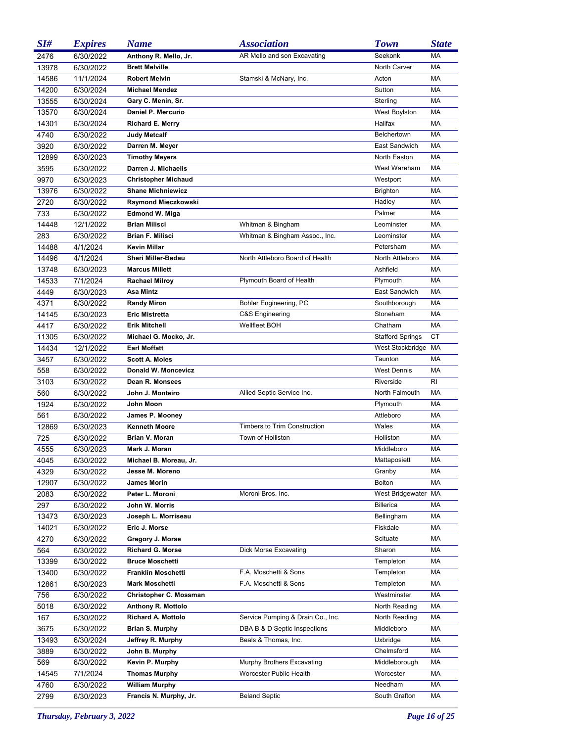| SI#   | <b>Expires</b> | <b>Name</b>                | <b>Association</b>                  | <b>Town</b>             | <b>State</b> |
|-------|----------------|----------------------------|-------------------------------------|-------------------------|--------------|
| 2476  | 6/30/2022      | Anthony R. Mello, Jr.      | AR Mello and son Excavating         | Seekonk                 | <b>MA</b>    |
| 13978 | 6/30/2022      | <b>Brett Melville</b>      |                                     | North Carver            | <b>MA</b>    |
| 14586 | 11/1/2024      | <b>Robert Melvin</b>       | Stamski & McNary, Inc.              | Acton                   | МA           |
| 14200 | 6/30/2024      | <b>Michael Mendez</b>      |                                     | Sutton                  | <b>MA</b>    |
| 13555 | 6/30/2024      | Gary C. Menin, Sr.         |                                     | Sterling                | MA           |
| 13570 | 6/30/2024      | Daniel P. Mercurio         |                                     | West Boylston           | МA           |
| 14301 | 6/30/2024      | <b>Richard E. Merry</b>    |                                     | Halifax                 | <b>MA</b>    |
| 4740  | 6/30/2022      | <b>Judy Metcalf</b>        |                                     | Belchertown             | МA           |
| 3920  | 6/30/2022      | Darren M. Meyer            |                                     | East Sandwich           | <b>MA</b>    |
| 12899 | 6/30/2023      | <b>Timothy Meyers</b>      |                                     | North Easton            | MA           |
| 3595  | 6/30/2022      | Darren J. Michaelis        |                                     | West Wareham            | <b>MA</b>    |
| 9970  | 6/30/2023      | <b>Christopher Michaud</b> |                                     | Westport                | МA           |
| 13976 | 6/30/2022      | <b>Shane Michniewicz</b>   |                                     | Brighton                | МA           |
| 2720  | 6/30/2022      | Raymond Mieczkowski        |                                     | Hadley                  | МA           |
| 733   | 6/30/2022      | <b>Edmond W. Miga</b>      |                                     | Palmer                  | МA           |
| 14448 | 12/1/2022      | <b>Brian Milisci</b>       | Whitman & Bingham                   | Leominster              | МA           |
| 283   | 6/30/2022      | <b>Brian F. Milisci</b>    | Whitman & Bingham Assoc., Inc.      | Leominster              | МA           |
| 14488 | 4/1/2024       | <b>Kevin Millar</b>        |                                     | Petersham               | МA           |
| 14496 | 4/1/2024       | <b>Sheri Miller-Bedau</b>  | North Attleboro Board of Health     | North Attleboro         | МA           |
| 13748 | 6/30/2023      | <b>Marcus Millett</b>      |                                     | Ashfield                | МA           |
| 14533 | 7/1/2024       | <b>Rachael Milroy</b>      | Plymouth Board of Health            | Plymouth                | МA           |
| 4449  | 6/30/2023      | Asa Mintz                  |                                     | East Sandwich           | МA           |
| 4371  | 6/30/2022      | <b>Randy Miron</b>         | Bohler Engineering, PC              | Southborough            | МA           |
| 14145 | 6/30/2023      | <b>Eric Mistretta</b>      | C&S Engineering                     | Stoneham                | МA           |
| 4417  | 6/30/2022      | <b>Erik Mitchell</b>       | Wellfleet BOH                       | Chatham                 | МA           |
| 11305 | 6/30/2022      | Michael G. Mocko, Jr.      |                                     | <b>Stafford Springs</b> | СT           |
| 14434 | 12/1/2022      | <b>Earl Moffatt</b>        |                                     | West Stockbridge        | МA           |
| 3457  | 6/30/2022      | <b>Scott A. Moles</b>      |                                     | Taunton                 | МA           |
| 558   | 6/30/2022      | Donald W. Moncevicz        |                                     | <b>West Dennis</b>      | МA           |
| 3103  | 6/30/2022      | Dean R. Monsees            |                                     | Riverside               | RI           |
| 560   | 6/30/2022      | John J. Monteiro           | Allied Septic Service Inc.          | North Falmouth          | МA           |
| 1924  | 6/30/2022      | John Moon                  |                                     | Plymouth                | МA           |
| 561   | 6/30/2022      | James P. Mooney            |                                     | Attleboro               | МA           |
| 12869 | 6/30/2023      | <b>Kenneth Moore</b>       | <b>Timbers to Trim Construction</b> | Wales                   | МA           |
| 725   | 6/30/2022      | <b>Brian V. Moran</b>      | Town of Holliston                   | Holliston               | МA           |
| 4555  | 6/30/2023      | Mark J. Moran              |                                     | Middleboro              | MA           |
| 4045  | 6/30/2022      | Michael B. Moreau, Jr.     |                                     | Mattaposiett            | МA           |
| 4329  | 6/30/2022      | Jesse M. Moreno            |                                     | Granby                  | МA           |
| 12907 | 6/30/2022      | <b>James Morin</b>         |                                     | Bolton                  | МA           |
| 2083  | 6/30/2022      | Peter L. Moroni            | Moroni Bros. Inc.                   | West Bridgewater MA     |              |
| 297   | 6/30/2022      | John W. Morris             |                                     | <b>Billerica</b>        | МA           |
| 13473 | 6/30/2023      | Joseph L. Morriseau        |                                     | Bellingham              | МA           |
| 14021 | 6/30/2022      | Eric J. Morse              |                                     | Fiskdale                | МA           |
| 4270  | 6/30/2022      | Gregory J. Morse           |                                     | Scituate                | МA           |
| 564   | 6/30/2022      | <b>Richard G. Morse</b>    | Dick Morse Excavating               | Sharon                  | МA           |
| 13399 | 6/30/2022      | <b>Bruce Moschetti</b>     |                                     | Templeton               | МA           |
| 13400 | 6/30/2022      | Franklin Moschetti         | F.A. Moschetti & Sons               | Templeton               | МA           |
| 12861 | 6/30/2023      | <b>Mark Moschetti</b>      | F.A. Moschetti & Sons               | Templeton               | МA           |
| 756   | 6/30/2022      | Christopher C. Mossman     |                                     | Westminster             | МA           |
| 5018  | 6/30/2022      | Anthony R. Mottolo         |                                     | North Reading           | МA           |
| 167   | 6/30/2022      | <b>Richard A. Mottolo</b>  | Service Pumping & Drain Co., Inc.   | North Reading           | МA           |
| 3675  | 6/30/2022      | <b>Brian S. Murphy</b>     | DBA B & D Septic Inspections        | Middleboro              | МA           |
| 13493 | 6/30/2024      | Jeffrey R. Murphy          | Beals & Thomas, Inc.                | Uxbridge                | МA           |
| 3889  | 6/30/2022      | John B. Murphy             |                                     | Chelmsford              | МA           |
| 569   | 6/30/2022      | Kevin P. Murphy            | Murphy Brothers Excavating          | Middleborough           | МA           |
| 14545 | 7/1/2024       | <b>Thomas Murphy</b>       | Worcester Public Health             | Worcester               | МA           |
| 4760  | 6/30/2022      | <b>William Murphy</b>      |                                     | Needham                 | МA           |
| 2799  | 6/30/2023      | Francis N. Murphy, Jr.     | <b>Beland Septic</b>                | South Grafton           | МA           |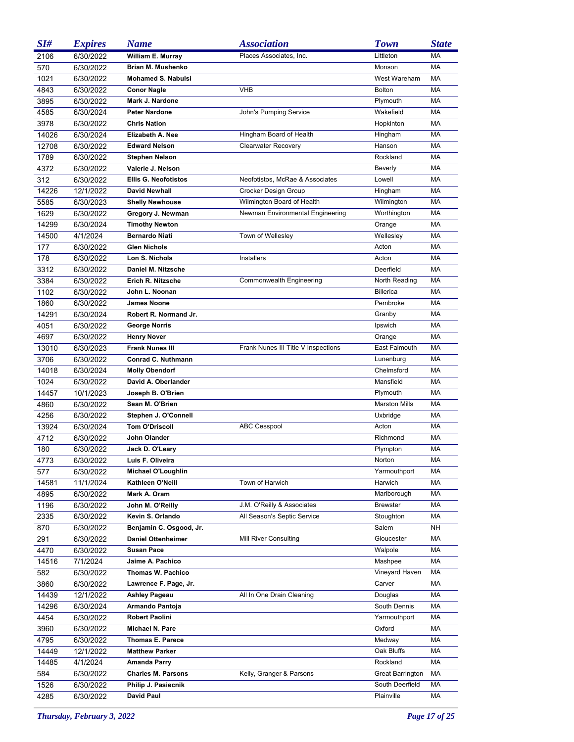| SI#   | <b>Expires</b> | <b>Name</b>                 | <b>Association</b>                  | <b>Town</b>             | <b>State</b> |
|-------|----------------|-----------------------------|-------------------------------------|-------------------------|--------------|
| 2106  | 6/30/2022      | William E. Murray           | Places Associates, Inc.             | Littleton               | MA           |
| 570   | 6/30/2022      | <b>Brian M. Mushenko</b>    |                                     | Monson                  | МA           |
| 1021  | 6/30/2022      | <b>Mohamed S. Nabulsi</b>   |                                     | West Wareham            | МA           |
| 4843  | 6/30/2022      | <b>Conor Nagle</b>          | <b>VHB</b>                          | <b>Bolton</b>           | МA           |
| 3895  | 6/30/2022      | Mark J. Nardone             |                                     | Plymouth                | МA           |
| 4585  | 6/30/2024      | <b>Peter Nardone</b>        | John's Pumping Service              | Wakefield               | МA           |
| 3978  | 6/30/2022      | <b>Chris Nation</b>         |                                     | Hopkinton               | МA           |
| 14026 | 6/30/2024      | Elizabeth A. Nee            | Hingham Board of Health             | Hingham                 | МA           |
| 12708 | 6/30/2022      | <b>Edward Nelson</b>        | <b>Clearwater Recovery</b>          | Hanson                  | МA           |
| 1789  | 6/30/2022      | <b>Stephen Nelson</b>       |                                     | Rockland                | МA           |
| 4372  | 6/30/2022      | Valerie J. Nelson           |                                     | Beverly                 | МA           |
| 312   | 6/30/2022      | <b>Ellis G. Neofotistos</b> | Neofotistos, McRae & Associates     | Lowell                  | МA           |
| 14226 | 12/1/2022      | <b>David Newhall</b>        | Crocker Design Group                | Hingham                 | МA           |
| 5585  | 6/30/2023      | <b>Shelly Newhouse</b>      | Wilmington Board of Health          | Wilmington              | МA           |
| 1629  | 6/30/2022      | Gregory J. Newman           | Newman Environmental Engineering    | Worthington             | МA           |
| 14299 | 6/30/2024      | <b>Timothy Newton</b>       |                                     | Orange                  | МA           |
| 14500 | 4/1/2024       | <b>Bernardo Niati</b>       | Town of Wellesley                   | Wellesley               | МA           |
| 177   | 6/30/2022      | <b>Glen Nichols</b>         |                                     | Acton                   | МA           |
| 178   | 6/30/2022      | Lon S. Nichols              | <b>Installers</b>                   | Acton                   | МA           |
| 3312  | 6/30/2022      | Daniel M. Nitzsche          |                                     | Deerfield               | МA           |
| 3384  | 6/30/2022      | Erich R. Nitzsche           | Commonwealth Engineering            | North Reading           | МA           |
| 1102  | 6/30/2022      | John L. Noonan              |                                     | <b>Billerica</b>        | МA           |
| 1860  | 6/30/2022      | <b>James Noone</b>          |                                     | Pembroke                | МA           |
| 14291 | 6/30/2024      | Robert R. Normand Jr.       |                                     | Granby                  | МA           |
| 4051  | 6/30/2022      | <b>George Norris</b>        |                                     | Ipswich                 | МA           |
| 4697  | 6/30/2022      | <b>Henry Nover</b>          |                                     | Orange                  | МA           |
| 13010 | 6/30/2023      | <b>Frank Nunes III</b>      | Frank Nunes III Title V Inspections | East Falmouth           | МA           |
| 3706  | 6/30/2022      | <b>Conrad C. Nuthmann</b>   |                                     | Lunenburg               | МA           |
| 14018 | 6/30/2024      | <b>Molly Obendorf</b>       |                                     | Chelmsford              | МA           |
| 1024  | 6/30/2022      | David A. Oberlander         |                                     | Mansfield               | МA           |
| 14457 | 10/1/2023      | Joseph B. O'Brien           |                                     | Plymouth                | МA           |
| 4860  | 6/30/2022      | Sean M. O'Brien             |                                     | <b>Marston Mills</b>    | МA           |
| 4256  | 6/30/2022      | Stephen J. O'Connell        |                                     | Uxbridge                | МA           |
| 13924 | 6/30/2024      | <b>Tom O'Driscoll</b>       | <b>ABC Cesspool</b>                 | Acton                   | МA           |
| 4712  | 6/30/2022      | John Olander                |                                     | Richmond                | МA           |
| 180   | 6/30/2022      | Jack D. O'Leary             |                                     | Plympton                | МA           |
| 4773  | 6/30/2022      | Luis F. Oliveira            |                                     | Norton                  | МA           |
| 577   | 6/30/2022      | <b>Michael O'Loughlin</b>   |                                     | Yarmouthport            | МA           |
| 14581 | 11/1/2024      | Kathleen O'Neill            | Town of Harwich                     | Harwich                 | МA           |
| 4895  | 6/30/2022      | Mark A. Oram                |                                     | Marlborough             | МA           |
| 1196  | 6/30/2022      | John M. O'Reilly            | J.M. O'Reilly & Associates          | <b>Brewster</b>         | МA           |
| 2335  | 6/30/2022      | Kevin S. Orlando            | All Season's Septic Service         | Stoughton               | МA           |
| 870   | 6/30/2022      | Benjamin C. Osgood, Jr.     |                                     | Salem                   | NΗ           |
| 291   | 6/30/2022      | <b>Daniel Ottenheimer</b>   | Mill River Consulting               | Gloucester              | МA           |
| 4470  | 6/30/2022      | <b>Susan Pace</b>           |                                     | Walpole                 | МA           |
| 14516 | 7/1/2024       | Jaime A. Pachico            |                                     | Mashpee                 | МA           |
| 582   | 6/30/2022      | Thomas W. Pachico           |                                     | Vineyard Haven          | МA           |
| 3860  | 6/30/2022      | Lawrence F. Page, Jr.       |                                     | Carver                  | МA           |
| 14439 | 12/1/2022      | <b>Ashley Pageau</b>        | All In One Drain Cleaning           | Douglas                 | МA           |
| 14296 | 6/30/2024      | Armando Pantoja             |                                     | South Dennis            | МA           |
| 4454  | 6/30/2022      | Robert Paolini              |                                     | Yarmouthport            | МA           |
| 3960  | 6/30/2022      | Michael N. Pare             |                                     | Oxford                  | МA           |
| 4795  | 6/30/2022      | <b>Thomas E. Parece</b>     |                                     | Medway                  | МA           |
| 14449 | 12/1/2022      | <b>Matthew Parker</b>       |                                     | Oak Bluffs              | МA           |
| 14485 | 4/1/2024       | Amanda Parry                |                                     | Rockland                | МA           |
| 584   | 6/30/2022      | <b>Charles M. Parsons</b>   | Kelly, Granger & Parsons            | <b>Great Barrington</b> | МA           |
| 1526  | 6/30/2022      | Philip J. Pasiecnik         |                                     | South Deerfield         | МA           |
| 4285  | 6/30/2022      | David Paul                  |                                     | Plainville              | МA           |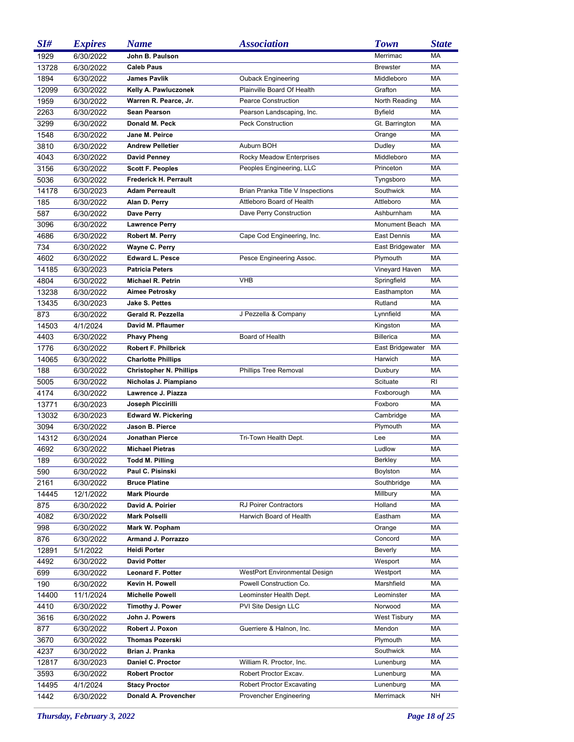| SI#   | <b>Expires</b> | <b>Name</b>                    | <b>Association</b>                   | <b>Town</b>         | <b>State</b> |
|-------|----------------|--------------------------------|--------------------------------------|---------------------|--------------|
| 1929  | 6/30/2022      | John B. Paulson                |                                      | Merrimac            | MA           |
| 13728 | 6/30/2022      | <b>Caleb Paus</b>              |                                      | <b>Brewster</b>     | MA           |
| 1894  | 6/30/2022      | <b>James Pavlik</b>            | <b>Ouback Engineering</b>            | Middleboro          | MA           |
| 12099 | 6/30/2022      | Kelly A. Pawluczonek           | Plainville Board Of Health           | Grafton             | MA           |
| 1959  | 6/30/2022      | Warren R. Pearce, Jr.          | <b>Pearce Construction</b>           | North Reading       | МA           |
| 2263  | 6/30/2022      | Sean Pearson                   | Pearson Landscaping, Inc.            | <b>Byfield</b>      | MA           |
| 3299  | 6/30/2022      | Donald M. Peck                 | <b>Peck Construction</b>             | Gt. Barrington      | MA           |
| 1548  | 6/30/2022      | Jane M. Peirce                 |                                      | Orange              | MA           |
| 3810  | 6/30/2022      | <b>Andrew Pelletier</b>        | Auburn BOH                           | Dudley              | MA           |
| 4043  | 6/30/2022      | <b>David Penney</b>            | Rocky Meadow Enterprises             | Middleboro          | MA           |
| 3156  | 6/30/2022      | <b>Scott F. Peoples</b>        | Peoples Engineering, LLC             | Princeton           | MA           |
| 5036  | 6/30/2022      | Frederick H. Perrault          |                                      | Tyngsboro           | MA           |
| 14178 | 6/30/2023      | <b>Adam Perreault</b>          | Brian Pranka Title V Inspections     | Southwick           | MA           |
| 185   | 6/30/2022      | Alan D. Perry                  | Attleboro Board of Health            | Attleboro           | MA           |
| 587   | 6/30/2022      | Dave Perry                     | Dave Perry Construction              | Ashburnham          | MA           |
| 3096  | 6/30/2022      | <b>Lawrence Perry</b>          |                                      | Monument Beach      | MA           |
| 4686  | 6/30/2022      | Robert M. Perry                | Cape Cod Engineering, Inc.           | East Dennis         | MA           |
| 734   | 6/30/2022      | Wayne C. Perry                 |                                      | East Bridgewater    | MA           |
| 4602  | 6/30/2022      | <b>Edward L. Pesce</b>         | Pesce Engineering Assoc.             | Plymouth            | MA           |
| 14185 | 6/30/2023      | <b>Patricia Peters</b>         |                                      | Vineyard Haven      | MA           |
| 4804  | 6/30/2022      | <b>Michael R. Petrin</b>       | <b>VHB</b>                           | Springfield         | MA           |
| 13238 | 6/30/2022      | Aimee Petrosky                 |                                      | Easthampton         | MA           |
| 13435 | 6/30/2023      | <b>Jake S. Pettes</b>          |                                      | Rutland             | MA           |
| 873   | 6/30/2022      | Gerald R. Pezzella             | J Pezzella & Company                 | Lynnfield           | МA           |
| 14503 | 4/1/2024       | David M. Pflaumer              |                                      | Kingston            | МA           |
| 4403  | 6/30/2022      | <b>Phavy Pheng</b>             | Board of Health                      | <b>Billerica</b>    | MA           |
| 1776  | 6/30/2022      | <b>Robert F. Philbrick</b>     |                                      | East Bridgewater    | MA           |
| 14065 | 6/30/2022      | <b>Charlotte Phillips</b>      |                                      | Harwich             | MA           |
| 188   | 6/30/2022      | <b>Christopher N. Phillips</b> | <b>Phillips Tree Removal</b>         | Duxbury             | МA           |
| 5005  | 6/30/2022      | Nicholas J. Piampiano          |                                      | Scituate            | RI           |
| 4174  | 6/30/2022      | Lawrence J. Piazza             |                                      | Foxborough          | MA           |
| 13771 | 6/30/2023      | Joseph Piccirilli              |                                      | Foxboro             | МA           |
| 13032 | 6/30/2023      | <b>Edward W. Pickering</b>     |                                      | Cambridge           | МA           |
| 3094  | 6/30/2022      | Jason B. Pierce                |                                      | Plymouth            | МA           |
| 14312 | 6/30/2024      | Jonathan Pierce                | Tri-Town Health Dept.                | Lee                 | МA           |
| 4692  | 6/30/2022      | <b>Michael Pietras</b>         |                                      | Ludlow              | МA           |
| 189   | 6/30/2022      | <b>Todd M. Pilling</b>         |                                      | Berkley             | МA           |
| 590   | 6/30/2022      | Paul C. Pisinski               |                                      | Boylston            | МA           |
| 2161  | 6/30/2022      | <b>Bruce Platine</b>           |                                      | Southbridge         | МA           |
| 14445 | 12/1/2022      | <b>Mark Plourde</b>            |                                      | Millbury            | МA           |
| 875   | 6/30/2022      | David A. Poirier               | <b>RJ Poirer Contractors</b>         | Holland             | МA           |
| 4082  | 6/30/2022      | <b>Mark Polselli</b>           | Harwich Board of Health              | Eastham             | МA           |
| 998   | 6/30/2022      | Mark W. Popham                 |                                      | Orange              | МA           |
| 876   | 6/30/2022      | Armand J. Porrazzo             |                                      | Concord             | МA           |
| 12891 | 5/1/2022       | <b>Heidi Porter</b>            |                                      | Beverly             | МA           |
| 4492  | 6/30/2022      | <b>David Potter</b>            |                                      | Wesport             | МA           |
| 699   | 6/30/2022      | <b>Leonard F. Potter</b>       | <b>WestPort Environmental Design</b> | Westport            | МA           |
| 190   | 6/30/2022      | Kevin H. Powell                | Powell Construction Co.              | Marshfield          | МA           |
| 14400 | 11/1/2024      | <b>Michelle Powell</b>         | Leominster Health Dept.              | Leominster          | МA           |
| 4410  | 6/30/2022      | Timothy J. Power               | PVI Site Design LLC                  | Norwood             | МA           |
| 3616  | 6/30/2022      | John J. Powers                 |                                      | <b>West Tisbury</b> | МA           |
| 877   | 6/30/2022      | Robert J. Poxon                | Guerriere & Halnon, Inc.             | Mendon              | МA           |
| 3670  | 6/30/2022      | Thomas Pozerski                |                                      | Plymouth            | МA           |
| 4237  | 6/30/2022      | Brian J. Pranka                |                                      | Southwick           | МA           |
| 12817 | 6/30/2023      | Daniel C. Proctor              | William R. Proctor, Inc.             | Lunenburg           | МA           |
| 3593  | 6/30/2022      | <b>Robert Proctor</b>          | Robert Proctor Excav.                | Lunenburg           | МA           |
| 14495 | 4/1/2024       | <b>Stacy Proctor</b>           | Robert Proctor Excavating            | Lunenburg           | МA           |
| 1442  | 6/30/2022      | Donald A. Provencher           | Provencher Engineering               | Merrimack           | NΗ           |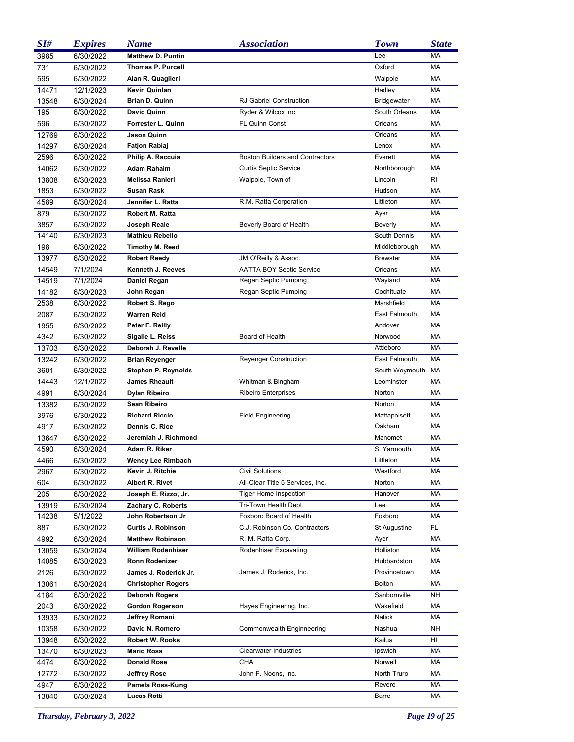| SI#   | <b>Expires</b> | <b>Name</b>               | <b>Association</b>                     | <b>Town</b>         | <b>State</b> |
|-------|----------------|---------------------------|----------------------------------------|---------------------|--------------|
| 3985  | 6/30/2022      | <b>Matthew D. Puntin</b>  |                                        | Lee                 | MA           |
| 731   | 6/30/2022      | <b>Thomas P. Purcell</b>  |                                        | Oxford              | MA           |
| 595   | 6/30/2022      | Alan R. Quaglieri         |                                        | Walpole             | МA           |
| 14471 | 12/1/2023      | Kevin Quinlan             |                                        | Hadley              | МA           |
| 13548 | 6/30/2024      | <b>Brian D. Quinn</b>     | RJ Gabriel Construction                | <b>Bridgewater</b>  | МA           |
| 195   | 6/30/2022      | David Quinn               | Ryder & Wilcox Inc.                    | South Orleans       | MA           |
| 596   | 6/30/2022      | Forrester L. Quinn        | <b>FL Quinn Const</b>                  | Orleans             | MA           |
| 12769 | 6/30/2022      | Jason Quinn               |                                        | Orleans             | МA           |
| 14297 | 6/30/2024      | <b>Fatjon Rabiaj</b>      |                                        | Lenox               | МA           |
| 2596  | 6/30/2022      | Philip A. Raccuia         | <b>Boston Builders and Contractors</b> | Everett             | MA           |
| 14062 | 6/30/2022      | <b>Adam Rahaim</b>        | <b>Curtis Septic Service</b>           | Northborough        | МA           |
| 13808 | 6/30/2023      | Melissa Ranieri           | Walpole, Town of                       | Lincoln             | <b>RI</b>    |
| 1853  | 6/30/2022      | <b>Susan Rask</b>         |                                        | Hudson              | MA           |
| 4589  | 6/30/2024      | Jennifer L. Ratta         | R.M. Ratta Corporation                 | Littleton           | МA           |
| 879   | 6/30/2022      | Robert M. Ratta           |                                        | Ayer                | MA           |
| 3857  | 6/30/2022      | Joseph Reale              | Beverly Board of Health                | Beverly             | МA           |
| 14140 | 6/30/2023      | <b>Mathieu Rebello</b>    |                                        | South Dennis        | МA           |
| 198   | 6/30/2022      | <b>Timothy M. Reed</b>    |                                        | Middleborough       | МA           |
| 13977 | 6/30/2022      | <b>Robert Reedy</b>       | JM O'Reilly & Assoc.                   | <b>Brewster</b>     | МA           |
| 14549 | 7/1/2024       | Kenneth J. Reeves         | AATTA BOY Septic Service               | Orleans             | MA           |
| 14519 | 7/1/2024       | Daniel Regan              | Regan Septic Pumping                   | Wayland             | МA           |
| 14182 | 6/30/2023      | John Regan                | Regan Septic Pumping                   | Cochituate          | МA           |
| 2538  | 6/30/2022      | Robert S. Rego            |                                        | Marshfield          | MA           |
| 2087  | 6/30/2022      | Warren Reid               |                                        | East Falmouth       | МA           |
| 1955  | 6/30/2022      | Peter F. Reilly           |                                        | Andover             | MA           |
| 4342  | 6/30/2022      | Sigalle L. Reiss          | Board of Health                        | Norwood             | MA           |
| 13703 | 6/30/2022      | Deborah J. Revelle        |                                        | Attleboro           | МA           |
| 13242 | 6/30/2022      | <b>Brian Reyenger</b>     | <b>Reyenger Construction</b>           | East Falmouth       | MA           |
| 3601  | 6/30/2022      | Stephen P. Reynolds       |                                        | South Weymouth      | MA           |
| 14443 | 12/1/2022      | <b>James Rheault</b>      | Whitman & Bingham                      | Leominster          | MA           |
| 4991  | 6/30/2024      | Dylan Ribeiro             | <b>Ribeiro Enterprises</b>             | Norton              | MA           |
| 13382 | 6/30/2022      | Sean Ribeiro              |                                        | Norton              | МA           |
| 3976  | 6/30/2022      | <b>Richard Riccio</b>     | <b>Field Engineering</b>               | Mattapoisett        | МA           |
| 4917  | 6/30/2022      | Dennis C. Rice            |                                        | Oakham              | МA           |
| 13647 | 6/30/2022      | Jeremiah J. Richmond      |                                        | Manomet             | МA           |
| 4590  | 6/30/2024      | Adam R. Riker             |                                        | S. Yarmouth         | МA           |
| 4466  | 6/30/2022      | <b>Wendy Lee Rimbach</b>  |                                        | Littleton           | МA           |
| 2967  | 6/30/2022      | Kevin J. Ritchie          | <b>Civil Solutions</b>                 | Westford            | МA           |
| 604   | 6/30/2022      | Albert R. Rivet           | All-Clear Title 5 Services, Inc.       | Norton              | МA           |
| 205   | 6/30/2022      | Joseph E. Rizzo, Jr.      | <b>Tiger Home Inspection</b>           | Hanover             | МA           |
| 13919 | 6/30/2024      | Zachary C. Roberts        | Tri-Town Health Dept.                  | Lee                 | МA           |
| 14238 | 5/1/2022       | John Robertson Jr         | Foxboro Board of Health                | Foxboro             | МA           |
| 887   | 6/30/2022      | Curtis J. Robinson        | C.J. Robinson Co. Contractors          | <b>St Augustine</b> | FL           |
| 4992  | 6/30/2024      | <b>Matthew Robinson</b>   | R. M. Ratta Corp.                      | Ayer                | МA           |
| 13059 | 6/30/2024      | William Rodenhiser        | Rodenhiser Excavating                  | Holliston           | МA           |
| 14085 | 6/30/2023      | Ronn Rodenizer            |                                        | Hubbardston         | МA           |
| 2126  | 6/30/2022      | James J. Roderick Jr.     | James J. Roderick, Inc.                | Provincetown        | МA           |
| 13061 | 6/30/2024      | <b>Christopher Rogers</b> |                                        | <b>Bolton</b>       | МA           |
| 4184  | 6/30/2022      | Deborah Rogers            |                                        | Sanbornville        | NΗ           |
| 2043  | 6/30/2022      | <b>Gordon Rogerson</b>    | Hayes Engineering, Inc.                | Wakefield           | МA           |
| 13933 | 6/30/2022      | Jeffrey Romani            |                                        | Natick              | МA           |
| 10358 | 6/30/2022      | David N. Romero           | Commonwealth Enginneering              | Nashua              | NΗ           |
| 13948 | 6/30/2022      | <b>Robert W. Rooks</b>    |                                        | Kailua              | HI           |
| 13470 | 6/30/2023      | <b>Mario Rosa</b>         | <b>Clearwater Industries</b>           | Ipswich             | МA           |
| 4474  | 6/30/2022      | <b>Donald Rose</b>        | <b>CHA</b>                             | Norwell             | МA           |
| 12772 | 6/30/2022      | <b>Jeffrey Rose</b>       | John F. Noons, Inc.                    | North Truro         | МA           |
| 4947  | 6/30/2022      | Pamela Ross-Kung          |                                        | Revere              | МA           |
| 13840 | 6/30/2024      | <b>Lucas Rotti</b>        |                                        | Barre               | МA           |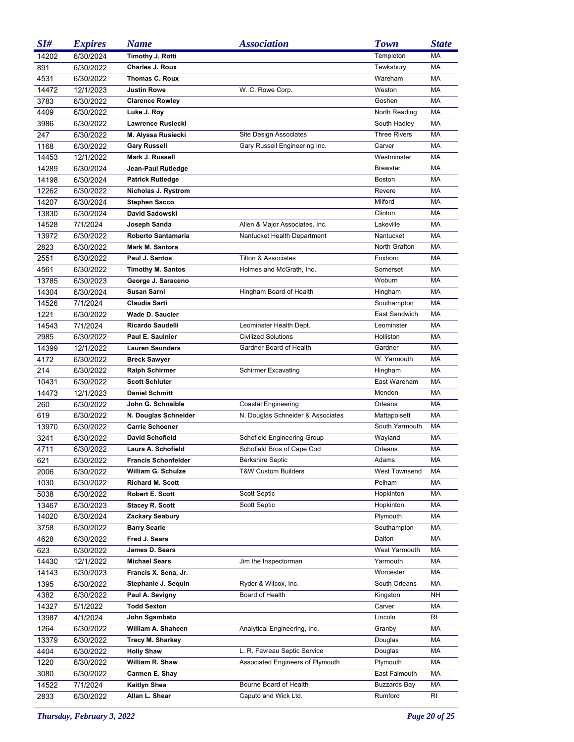| SI#   | <b>Expires</b> | <b>Name</b>                | <b>Association</b>                | <b>Town</b>          | <b>State</b> |
|-------|----------------|----------------------------|-----------------------------------|----------------------|--------------|
| 14202 | 6/30/2024      | Timothy J. Rotti           |                                   | Templeton            | MA           |
| 891   | 6/30/2022      | <b>Charles J. Roux</b>     |                                   | Tewksbury            | МA           |
| 4531  | 6/30/2022      | Thomas C. Roux             |                                   | Wareham              | МA           |
| 14472 | 12/1/2023      | <b>Justin Rowe</b>         | W. C. Rowe Corp.                  | Weston               | MA           |
| 3783  | 6/30/2022      | <b>Clarence Rowley</b>     |                                   | Goshen               | МA           |
| 4409  | 6/30/2022      | Luke J. Roy                |                                   | North Reading        | MA           |
| 3986  | 6/30/2022      | Lawrence Rusiecki          |                                   | South Hadley         | МA           |
| 247   | 6/30/2022      | M. Alyssa Rusiecki         | Site Design Associates            | <b>Three Rivers</b>  | MA           |
| 1168  | 6/30/2022      | <b>Gary Russell</b>        | Gary Russell Engineering Inc.     | Carver               | МA           |
| 14453 | 12/1/2022      | Mark J. Russell            |                                   | Westminster          | МA           |
| 14289 | 6/30/2024      | Jean-Paul Rutledge         |                                   | <b>Brewster</b>      | МA           |
| 14198 | 6/30/2024      | <b>Patrick Rutledge</b>    |                                   | Boston               | МA           |
| 12262 | 6/30/2022      | Nicholas J. Rystrom        |                                   | Revere               | MA           |
| 14207 | 6/30/2024      | <b>Stephen Sacco</b>       |                                   | Milford              | MA           |
| 13830 | 6/30/2024      | David Sadowski             |                                   | Clinton              | МA           |
| 14528 | 7/1/2024       | Joseph Sanda               | Allen & Major Associates, Inc.    | Lakeville            | MA           |
| 13972 | 6/30/2022      | Roberto Santamaria         | Nantucket Health Department       | Nantucket            | МA           |
| 2823  | 6/30/2022      | Mark M. Santora            |                                   | North Grafton        | MA           |
| 2551  | 6/30/2022      | Paul J. Santos             | <b>Tilton &amp; Associates</b>    | Foxboro              | MA           |
| 4561  | 6/30/2022      | <b>Timothy M. Santos</b>   | Holmes and McGrath, Inc.          | Somerset             | МA           |
| 13785 | 6/30/2023      | George J. Saraceno         |                                   | Woburn               | MA           |
| 14304 | 6/30/2024      | Susan Sarni                | Hingham Board of Health           | Hingham              | МA           |
| 14526 | 7/1/2024       | Claudia Sarti              |                                   | Southampton          | МA           |
| 1221  | 6/30/2022      | Wade D. Saucier            |                                   | East Sandwich        | MA           |
| 14543 | 7/1/2024       | Ricardo Saudelli           | Leominster Health Dept.           | Leominster           | МA           |
| 2985  | 6/30/2022      | Paul E. Saulnier           | <b>Civilized Solutions</b>        | Holliston            | МA           |
| 14399 | 12/1/2022      | <b>Lauren Saunders</b>     | Gardner Board of Health           | Gardner              | МA           |
| 4172  | 6/30/2022      | <b>Breck Sawyer</b>        |                                   | W. Yarmouth          | МA           |
| 214   | 6/30/2022      | <b>Ralph Schirmer</b>      | <b>Schirmer Excavating</b>        | Hingham              | MA           |
| 10431 | 6/30/2022      | <b>Scott Schluter</b>      |                                   | East Wareham         | МA           |
| 14473 | 12/1/2023      | <b>Daniel Schmitt</b>      |                                   | Mendon               | MA           |
| 260   | 6/30/2022      | John G. Schnaible          | <b>Coastal Engineering</b>        | Orleans              | МA           |
| 619   | 6/30/2022      | N. Douglas Schneider       | N. Douglas Schneider & Associates | Mattapoisett         | МA           |
| 13970 | 6/30/2022      | <b>Carrie Schoener</b>     |                                   | South Yarmouth       | MA           |
| 3241  | 6/30/2022      | <b>David Schofield</b>     | Schofield Engineering Group       | Wayland              | МA           |
| 4711  | 6/30/2022      | Laura A. Schofield         | Schofield Bros of Cape Cod        | Orleans              | MA           |
| 621   | 6/30/2022      | <b>Francis Schonfelder</b> | Berkshire Septic                  | Adams                | MA           |
| 2006  | 6/30/2022      | William G. Schulze         | <b>T&amp;W Custom Builders</b>    | <b>West Townsend</b> | МA           |
| 1030  | 6/30/2022      | <b>Richard M. Scott</b>    |                                   | Pelham               | МA           |
| 5038  | 6/30/2022      | Robert E. Scott            | <b>Scott Septic</b>               | Hopkinton            | МA           |
| 13467 | 6/30/2023      | <b>Stacey R. Scott</b>     | Scott Septic                      | Hopkinton            | МA           |
| 14020 | 6/30/2024      | Zackary Seabury            |                                   | Plymouth             | МA           |
| 3758  | 6/30/2022      | <b>Barry Searle</b>        |                                   | Southampton          | МA           |
| 4628  | 6/30/2022      | Fred J. Sears              |                                   | Dalton               | МA           |
| 623   | 6/30/2022      | James D. Sears             |                                   | <b>West Yarmouth</b> | МA           |
| 14430 | 12/1/2022      | <b>Michael Sears</b>       | Jim the Inspectorman              | Yarmouth             | МA           |
| 14143 | 6/30/2023      | Francis X. Sena, Jr.       |                                   | Worcester            | МA           |
| 1395  | 6/30/2022      | Stephanie J. Sequin        | Ryder & Wilcox, Inc.              | South Orleans        | МA           |
| 4382  | 6/30/2022      | Paul A. Sevigny            | Board of Health                   | Kingston             | NH           |
| 14327 | 5/1/2022       | <b>Todd Sexton</b>         |                                   | Carver               | МA           |
| 13987 | 4/1/2024       | John Sgambato              |                                   | Lincoln              | RI           |
| 1264  | 6/30/2022      | William A. Shaheen         | Analytical Engineering, Inc.      | Granby               | МA           |
| 13379 | 6/30/2022      | <b>Tracy M. Sharkey</b>    |                                   | Douglas              | МA           |
| 4404  | 6/30/2022      | <b>Holly Shaw</b>          | L. R. Favreau Septic Service      | Douglas              | МA           |
| 1220  | 6/30/2022      | William R. Shaw            | Associated Engineers of Plymouth  | Plymouth             | МA           |
| 3080  | 6/30/2022      | Carmen E. Shay             |                                   | East Falmouth        | МA           |
| 14522 | 7/1/2024       | Kaitlyn Shea               | Bourne Board of Health            | <b>Buzzards Bay</b>  | МA           |
| 2833  | 6/30/2022      | Allan L. Shear             | Caputo and Wick Ltd.              | Rumford              | RI           |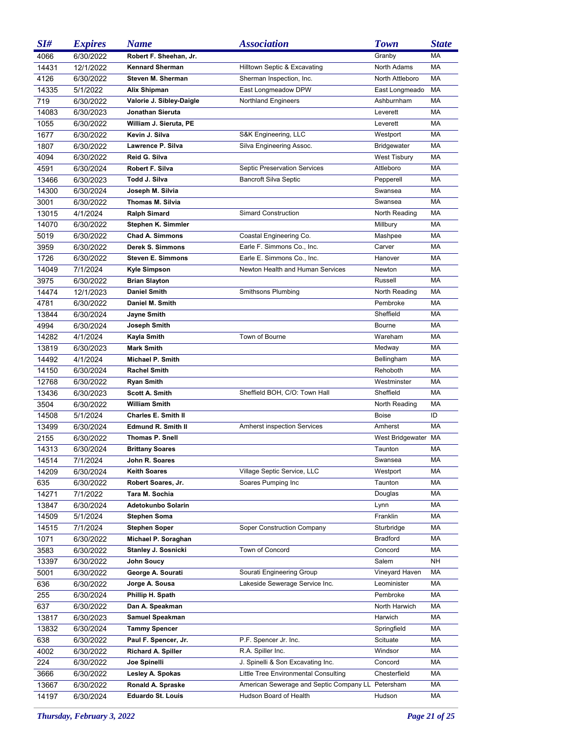| SI#   | <b>Expires</b> | <b>Name</b>                | <b>Association</b>                                | <b>Town</b>         | <b>State</b> |
|-------|----------------|----------------------------|---------------------------------------------------|---------------------|--------------|
| 4066  | 6/30/2022      | Robert F. Sheehan, Jr.     |                                                   | Granby              | <b>MA</b>    |
| 14431 | 12/1/2022      | Kennard Sherman            | Hilltown Septic & Excavating                      | North Adams         | МA           |
| 4126  | 6/30/2022      | Steven M. Sherman          | Sherman Inspection, Inc.                          | North Attleboro     | МA           |
| 14335 | 5/1/2022       | <b>Alix Shipman</b>        | East Longmeadow DPW                               | East Longmeado      | МA           |
| 719   | 6/30/2022      | Valorie J. Sibley-Daigle   | <b>Northland Engineers</b>                        | Ashburnham          | МA           |
| 14083 | 6/30/2023      | Jonathan Sieruta           |                                                   | Leverett            | МA           |
| 1055  | 6/30/2022      | William J. Sieruta, PE     |                                                   | Leverett            | MA           |
| 1677  | 6/30/2022      | Kevin J. Silva             | S&K Engineering, LLC                              | Westport            | MA           |
| 1807  | 6/30/2022      | Lawrence P. Silva          | Silva Engineering Assoc.                          | <b>Bridgewater</b>  | МA           |
| 4094  | 6/30/2022      | Reid G. Silva              |                                                   | <b>West Tisbury</b> | MA           |
| 4591  | 6/30/2024      | Robert F. Silva            | Septic Preservation Services                      | Attleboro           | МA           |
| 13466 | 6/30/2023      | Todd J. Silva              | <b>Bancroft Silva Septic</b>                      | Pepperell           | МA           |
| 14300 | 6/30/2024      | Joseph M. Silvia           |                                                   | Swansea             | MA           |
| 3001  | 6/30/2022      | Thomas M. Silvia           |                                                   | Swansea             | MA           |
| 13015 | 4/1/2024       | Ralph Simard               | <b>Simard Construction</b>                        | North Reading       | MA           |
| 14070 | 6/30/2022      | Stephen K. Simmler         |                                                   | Millbury            | MA           |
| 5019  | 6/30/2022      | <b>Chad A. Simmons</b>     | Coastal Engineering Co.                           | Mashpee             | MA           |
| 3959  | 6/30/2022      | Derek S. Simmons           | Earle F. Simmons Co., Inc.                        | Carver              | MA           |
| 1726  | 6/30/2022      | <b>Steven E. Simmons</b>   | Earle E. Simmons Co., Inc.                        | Hanover             | MA           |
| 14049 | 7/1/2024       | Kyle Simpson               | Newton Health and Human Services                  | Newton              | MA           |
| 3975  | 6/30/2022      | <b>Brian Slayton</b>       |                                                   | Russell             | MA           |
| 14474 | 12/1/2023      | <b>Daniel Smith</b>        | Smithsons Plumbing                                | North Reading       | MA           |
| 4781  | 6/30/2022      | Daniel M. Smith            |                                                   | Pembroke            | MA           |
| 13844 | 6/30/2024      | Jayne Smith                |                                                   | Sheffield           | МA           |
| 4994  | 6/30/2024      | Joseph Smith               |                                                   | Bourne              | MA           |
| 14282 | 4/1/2024       | Kayla Smith                | Town of Bourne                                    | Wareham             | MA           |
| 13819 | 6/30/2023      | Mark Smith                 |                                                   | Medway              | МA           |
| 14492 | 4/1/2024       | Michael P. Smith           |                                                   | Bellingham          | MA           |
| 14150 | 6/30/2024      | Rachel Smith               |                                                   | Rehoboth            | МA           |
| 12768 | 6/30/2022      | Ryan Smith                 |                                                   | Westminster         | МA           |
| 13436 | 6/30/2023      | <b>Scott A. Smith</b>      | Sheffield BOH, C/O: Town Hall                     | Sheffield           | MA           |
| 3504  | 6/30/2022      | William Smith              |                                                   | North Reading       | МA           |
| 14508 | 5/1/2024       | <b>Charles E. Smith II</b> |                                                   | Boise               | ID           |
| 13499 | 6/30/2024      | Edmund R. Smith II         | <b>Amherst inspection Services</b>                | Amherst             | МA           |
| 2155  | 6/30/2022      | <b>Thomas P. Snell</b>     |                                                   | West Bridgewater    | МA           |
| 14313 | 6/30/2024      | <b>Brittany Soares</b>     |                                                   | Taunton             | МA           |
| 14514 | 7/1/2024       | John R. Soares             |                                                   | Swansea             | МA           |
| 14209 | 6/30/2024      | <b>Keith Soares</b>        | Village Septic Service, LLC                       | Westport            | МA           |
| 635   | 6/30/2022      | Robert Soares, Jr.         | Soares Pumping Inc                                | Taunton             | МA           |
| 14271 | 7/1/2022       | Tara M. Sochia             |                                                   | Douglas             | МA           |
| 13847 | 6/30/2024      | Adetokunbo Solarin         |                                                   | Lynn                | МA           |
| 14509 | 5/1/2024       | Stephen Soma               |                                                   | Franklin            | МA           |
| 14515 | 7/1/2024       | Stephen Soper              | Soper Construction Company                        | Sturbridge          | МA           |
| 1071  | 6/30/2022      | Michael P. Soraghan        |                                                   | Bradford            | МA           |
| 3583  | 6/30/2022      | Stanley J. Sosnicki        | Town of Concord                                   | Concord             | МA           |
| 13397 | 6/30/2022      | John Soucy                 |                                                   | Salem               | NΗ           |
| 5001  | 6/30/2022      | George A. Sourati          | Sourati Engineering Group                         | Vineyard Haven      | МA           |
| 636   | 6/30/2022      | Jorge A. Sousa             | Lakeside Sewerage Service Inc.                    | Leominister         | МA           |
| 255   | 6/30/2024      | Phillip H. Spath           |                                                   | Pembroke            | МA           |
| 637   | 6/30/2022      | Dan A. Speakman            |                                                   | North Harwich       | МA           |
| 13817 | 6/30/2023      | Samuel Speakman            |                                                   | Harwich             | МA           |
| 13832 | 6/30/2024      | <b>Tammy Spencer</b>       |                                                   | Springfield         | МA           |
| 638   | 6/30/2022      | Paul F. Spencer, Jr.       | P.F. Spencer Jr. Inc.                             | Scituate            | МA           |
| 4002  | 6/30/2022      | Richard A. Spiller         | R.A. Spiller Inc.                                 | Windsor             | МA           |
| 224   | 6/30/2022      | Joe Spinelli               | J. Spinelli & Son Excavating Inc.                 | Concord             | МA           |
| 3666  | 6/30/2022      | Lesley A. Spokas           | Little Tree Environmental Consulting              | Chesterfield        | МA           |
| 13667 | 6/30/2022      | Ronald A. Spraske          | American Sewerage and Septic Company LL Petersham |                     | МA           |
| 14197 | 6/30/2024      | <b>Eduardo St. Louis</b>   | Hudson Board of Health                            | Hudson              | МA           |

*Thursday, February 3, 2022 Page 21 of 25*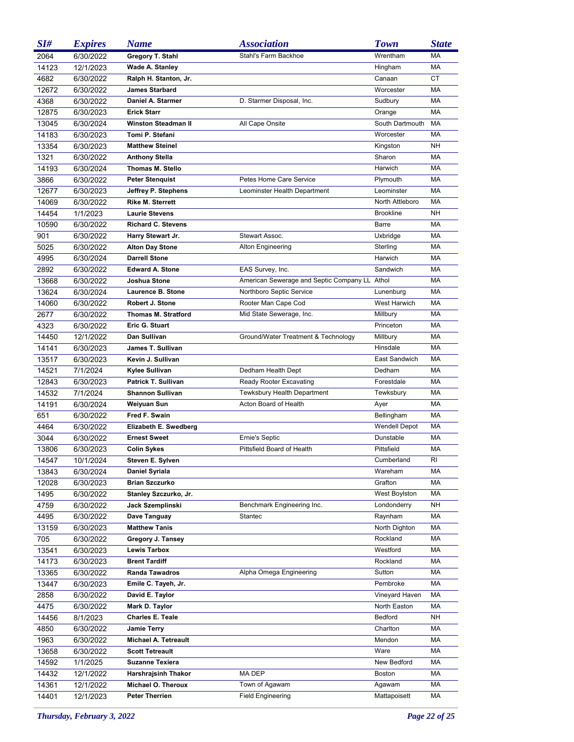| SI#   | <b>Expires</b> | <b>Name</b>                 | <b>Association</b>                            | <b>Town</b>          | <b>State</b> |
|-------|----------------|-----------------------------|-----------------------------------------------|----------------------|--------------|
| 2064  | 6/30/2022      | Gregory T. Stahl            | Stahl's Farm Backhoe                          | Wrentham             | MA           |
| 14123 | 12/1/2023      | Wade A. Stanley             |                                               | Hingham              | МA           |
| 4682  | 6/30/2022      | Ralph H. Stanton, Jr.       |                                               | Canaan               | CT           |
| 12672 | 6/30/2022      | <b>James Starbard</b>       |                                               | Worcester            | МA           |
| 4368  | 6/30/2022      | Daniel A. Starmer           | D. Starmer Disposal, Inc.                     | Sudbury              | МA           |
| 12875 | 6/30/2023      | <b>Erick Starr</b>          |                                               | Orange               | МA           |
| 13045 | 6/30/2024      | <b>Winston Steadman II</b>  | All Cape Onsite                               | South Dartmouth      | МA           |
| 14183 | 6/30/2023      | Tomi P. Stefani             |                                               | Worcester            | MA           |
| 13354 | 6/30/2023      | <b>Matthew Steinel</b>      |                                               | Kingston             | NΗ           |
| 1321  | 6/30/2022      | <b>Anthony Stella</b>       |                                               | Sharon               | МA           |
| 14193 | 6/30/2024      | Thomas M. Stello            |                                               | Harwich              | МA           |
| 3866  | 6/30/2022      | <b>Peter Stenguist</b>      | Petes Home Care Service                       | Plymouth             | МA           |
| 12677 | 6/30/2023      | Jeffrey P. Stephens         | Leominster Health Department                  | Leominster           | МA           |
| 14069 | 6/30/2022      | <b>Rike M. Sterrett</b>     |                                               | North Attleboro      | МA           |
| 14454 | 1/1/2023       | <b>Laurie Stevens</b>       |                                               | <b>Brookline</b>     | <b>NH</b>    |
| 10590 | 6/30/2022      | <b>Richard C. Stevens</b>   |                                               | Barre                | МA           |
| 901   | 6/30/2022      | Harry Stewart Jr.           | Stewart Assoc.                                | Uxbridge             | МA           |
| 5025  | 6/30/2022      | <b>Alton Day Stone</b>      | Alton Engineering                             | Sterling             | МA           |
| 4995  | 6/30/2024      | <b>Darrell Stone</b>        |                                               | Harwich              | МA           |
| 2892  | 6/30/2022      | <b>Edward A. Stone</b>      | EAS Survey, Inc.                              | Sandwich             | МA           |
| 13668 | 6/30/2022      | Joshua Stone                | American Sewerage and Septic Company LL Athol |                      | МA           |
| 13624 | 6/30/2024      | Laurence B. Stone           | Northboro Septic Service                      | Lunenburg            | МA           |
| 14060 | 6/30/2022      | Robert J. Stone             | Rooter Man Cape Cod                           | West Harwich         | МA           |
| 2677  | 6/30/2022      | <b>Thomas M. Stratford</b>  | Mid State Sewerage, Inc.                      | Millbury             | MA           |
| 4323  | 6/30/2022      | Eric G. Stuart              |                                               | Princeton            | МA           |
| 14450 | 12/1/2022      | Dan Sullivan                | Ground/Water Treatment & Technology           | Millbury             | МA           |
| 14141 | 6/30/2023      | James T. Sullivan           |                                               | Hinsdale             | МA           |
| 13517 | 6/30/2023      | Kevin J. Sullivan           |                                               | East Sandwich        | МA           |
| 14521 | 7/1/2024       | Kylee Sullivan              | Dedham Health Dept                            | Dedham               | MA           |
| 12843 | 6/30/2023      | Patrick T. Sullivan         | Ready Rooter Excavating                       | Forestdale           | МA           |
| 14532 | 7/1/2024       | <b>Shannon Sullivan</b>     | Tewksbury Health Department                   | Tewksbury            | МA           |
| 14191 | 6/30/2024      | Weiyuan Sun                 | Acton Board of Health                         | Ayer                 | МA           |
| 651   | 6/30/2022      | Fred F. Swain               |                                               | Bellingham           | МA           |
| 4464  | 6/30/2022      | Elizabeth E. Swedberg       |                                               | <b>Wendell Depot</b> | МA           |
| 3044  | 6/30/2022      | <b>Ernest Sweet</b>         | Ernie's Septic                                | Dunstable            | МA           |
| 13806 | 6/30/2023      | <b>Colin Sykes</b>          | Pittsfield Board of Health                    | Pittsfield           | MA           |
| 14547 | 10/1/2024      | Steven E. Sylven            |                                               | Cumberland           | RI.          |
| 13843 | 6/30/2024      | <b>Daniel Syriala</b>       |                                               | Wareham              | МA           |
| 12028 | 6/30/2023      | <b>Brian Szczurko</b>       |                                               | Grafton              | МA           |
| 1495  | 6/30/2022      | Stanley Szczurko, Jr.       |                                               | West Boylston        | МA           |
| 4759  | 6/30/2022      | Jack Szemplinski            | Benchmark Engineering Inc.                    | Londonderry          | NH           |
| 4495  | 6/30/2022      | Dave Tanguay                | Stantec                                       | Raynham              | МA           |
| 13159 | 6/30/2023      | <b>Matthew Tanis</b>        |                                               | North Dighton        | МA           |
| 705   | 6/30/2022      | Gregory J. Tansey           |                                               | Rockland             | МA           |
| 13541 | 6/30/2023      | <b>Lewis Tarbox</b>         |                                               | Westford             | МA           |
| 14173 | 6/30/2023      | <b>Brent Tardiff</b>        |                                               | Rockland             | МA           |
| 13365 | 6/30/2022      | <b>Randa Tawadros</b>       | Alpha Omega Engineering                       | Sutton               | МA           |
| 13447 | 6/30/2023      | Emile C. Tayeh, Jr.         |                                               | Pembroke             | МA           |
| 2858  | 6/30/2022      | David E. Taylor             |                                               | Vineyard Haven       | МA           |
| 4475  | 6/30/2022      | Mark D. Taylor              |                                               | North Easton         | МA           |
| 14456 | 8/1/2023       | <b>Charles E. Teale</b>     |                                               | Bedford              | NΗ           |
| 4850  | 6/30/2022      | <b>Jamie Terry</b>          |                                               | Charlton             | МA           |
| 1963  | 6/30/2022      | <b>Michael A. Tetreault</b> |                                               | Mendon               | МA           |
| 13658 | 6/30/2022      | <b>Scott Tetreault</b>      |                                               | Ware                 | МA           |
| 14592 | 1/1/2025       | <b>Suzanne Texiera</b>      |                                               | New Bedford          | МA           |
| 14432 | 12/1/2022      | Harshrajsinh Thakor         | MA DEP                                        | <b>Boston</b>        | МA           |
| 14361 | 12/1/2022      | Michael O. Theroux          | Town of Agawam                                | Agawam               | МA           |
| 14401 | 12/1/2023      | <b>Peter Therrien</b>       | <b>Field Engineering</b>                      | Mattapoisett         | МA           |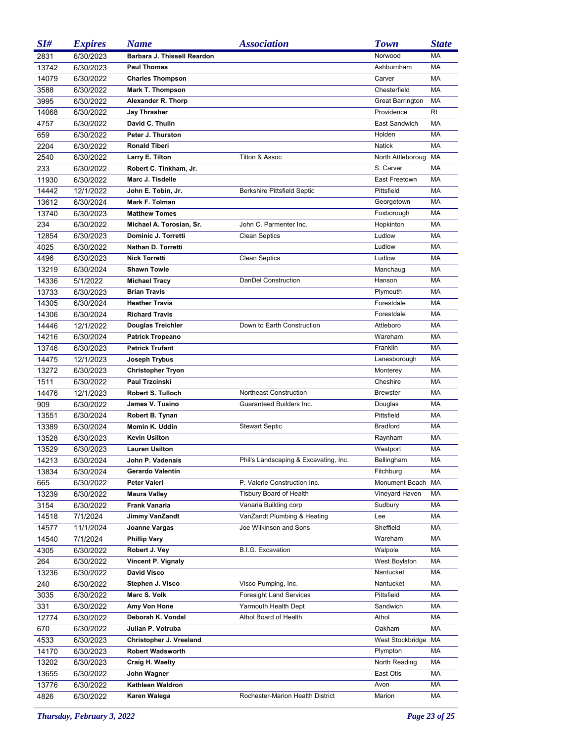| SI#   | <b>Expires</b> | <b>Name</b>                 | <i><b>Association</b></i>             | <b>Town</b>             | <b>State</b> |
|-------|----------------|-----------------------------|---------------------------------------|-------------------------|--------------|
| 2831  | 6/30/2023      | Barbara J. Thissell Reardon |                                       | Norwood                 | <b>MA</b>    |
| 13742 | 6/30/2023      | <b>Paul Thomas</b>          |                                       | Ashburnham              | MA           |
| 14079 | 6/30/2022      | <b>Charles Thompson</b>     |                                       | Carver                  | MA           |
| 3588  | 6/30/2022      | <b>Mark T. Thompson</b>     |                                       | Chesterfield            | MA           |
| 3995  | 6/30/2022      | Alexander R. Thorp          |                                       | <b>Great Barrington</b> | MA           |
| 14068 | 6/30/2022      | Jay Thrasher                |                                       | Providence              | RI           |
| 4757  | 6/30/2022      | David C. Thulin             |                                       | East Sandwich           | MA           |
| 659   | 6/30/2022      | Peter J. Thurston           |                                       | Holden                  | MA           |
| 2204  | 6/30/2022      | <b>Ronald Tiberi</b>        |                                       | <b>Natick</b>           | MA           |
| 2540  | 6/30/2022      | Larry E. Tilton             | Tilton & Assoc                        | North Attleboroug       | MA           |
| 233   | 6/30/2022      | Robert C. Tinkham, Jr.      |                                       | S. Carver               | MA           |
| 11930 | 6/30/2022      | Marc J. Tisdelle            |                                       | East Freetown           | <b>MA</b>    |
| 14442 | 12/1/2022      | John E. Tobin, Jr.          | <b>Berkshire Pittsfield Septic</b>    | Pittsfield              | MA           |
| 13612 | 6/30/2024      | Mark F. Tolman              |                                       | Georgetown              | <b>MA</b>    |
| 13740 | 6/30/2023      | <b>Matthew Tomes</b>        |                                       | Foxborough              | MA           |
| 234   | 6/30/2022      | Michael A. Torosian, Sr.    | John C. Parmenter Inc.                | Hopkinton               | MA           |
| 12854 | 6/30/2023      | Dominic J. Torretti         | <b>Clean Septics</b>                  | Ludlow                  | <b>MA</b>    |
| 4025  | 6/30/2022      | Nathan D. Torretti          |                                       | Ludlow                  | MA           |
| 4496  | 6/30/2023      | <b>Nick Torretti</b>        | <b>Clean Septics</b>                  | Ludlow                  | <b>MA</b>    |
| 13219 | 6/30/2024      | <b>Shawn Towle</b>          |                                       | Manchaug                | MA           |
| 14336 | 5/1/2022       | <b>Michael Tracy</b>        | DanDel Construction                   | Hanson                  | MA           |
| 13733 | 6/30/2023      | <b>Brian Travis</b>         |                                       | Plymouth                | <b>MA</b>    |
| 14305 | 6/30/2024      | <b>Heather Travis</b>       |                                       | Forestdale              | MA           |
| 14306 | 6/30/2024      | <b>Richard Travis</b>       |                                       | Forestdale              | <b>MA</b>    |
| 14446 | 12/1/2022      | Douglas Treichler           | Down to Earth Construction            | Attleboro               | MA           |
| 14216 | 6/30/2024      | <b>Patrick Tropeano</b>     |                                       | Wareham                 | <b>MA</b>    |
| 13746 | 6/30/2023      | <b>Patrick Trufant</b>      |                                       | Franklin                | <b>MA</b>    |
| 14475 | 12/1/2023      | Joseph Trybus               |                                       | Lanesborough            | MA           |
| 13272 | 6/30/2023      | <b>Christopher Tryon</b>    |                                       | Monterey                | <b>MA</b>    |
| 1511  | 6/30/2022      | Paul Trzcinski              |                                       | Cheshire                | MA           |
| 14476 | 12/1/2023      | <b>Robert S. Tulloch</b>    | Northeast Construction                | <b>Brewster</b>         | <b>MA</b>    |
| 909   | 6/30/2022      | James V. Tusino             | Guaranteed Builders Inc.              | Douglas                 | <b>MA</b>    |
| 13551 | 6/30/2024      | Robert B. Tynan             |                                       | Pittsfield              | МA           |
| 13389 | 6/30/2024      | Momin K. Uddin              | <b>Stewart Septic</b>                 | <b>Bradford</b>         | MA           |
| 13528 | 6/30/2023      | <b>Kevin Usilton</b>        |                                       | Raynham                 | MA           |
| 13529 | 6/30/2023      | <b>Lauren Usilton</b>       |                                       | Westport                | MA           |
| 14213 | 6/30/2024      | John P. Vadenais            | Phil's Landscaping & Excavating, Inc. | Bellingham              | МA           |
| 13834 | 6/30/2024      | Gerardo Valentin            |                                       | Fitchburg               | МA           |
| 665   | 6/30/2022      | Peter Valeri                | P. Valerie Construction Inc.          | Monument Beach          | МA           |
| 13239 | 6/30/2022      | <b>Maura Valley</b>         | <b>Tisbury Board of Health</b>        | Vineyard Haven          | МA           |
| 3154  | 6/30/2022      | <b>Frank Vanaria</b>        | Vanaria Building corp                 | Sudbury                 | МA           |
| 14518 | 7/1/2024       | Jimmy VanZandt              | VanZandt Plumbing & Heating           | Lee                     | МA           |
| 14577 | 11/1/2024      | Joanne Vargas               | Joe Wilkinson and Sons                | Sheffield               | МA           |
| 14540 | 7/1/2024       | <b>Phillip Vary</b>         |                                       | Wareham                 | МA           |
| 4305  | 6/30/2022      | Robert J. Vey               | <b>B.I.G. Excavation</b>              | Walpole                 | МA           |
| 264   | 6/30/2022      | Vincent P. Vignaly          |                                       | West Boylston           | МA           |
| 13236 | 6/30/2022      | <b>David Visco</b>          |                                       | Nantucket               | МA           |
| 240   | 6/30/2022      | Stephen J. Visco            | Visco Pumping, Inc.                   | Nantucket               | МA           |
| 3035  | 6/30/2022      | Marc S. Volk                | <b>Foresight Land Services</b>        | Pittsfield              | МA           |
| 331   | 6/30/2022      | Amy Von Hone                | Yarmouth Health Dept                  | Sandwich                | МA           |
| 12774 | 6/30/2022      | Deborah K. Vondal           | Athol Board of Health                 | Athol                   | МA           |
| 670   | 6/30/2022      | Julian P. Votruba           |                                       | Oakham                  | МA           |
| 4533  | 6/30/2023      | Christopher J. Vreeland     |                                       | West Stockbridge        | МA           |
| 14170 | 6/30/2023      | <b>Robert Wadsworth</b>     |                                       | Plympton                | МA           |
| 13202 | 6/30/2023      | Craig H. Waelty             |                                       | North Reading           | МA           |
| 13655 | 6/30/2022      | John Wagner                 |                                       | East Otis               | МA           |
| 13776 | 6/30/2022      | Kathleen Waldron            |                                       | Avon                    | МA           |
| 4826  | 6/30/2022      | Karen Walega                | Rochester-Marion Health District      | Marion                  | МA           |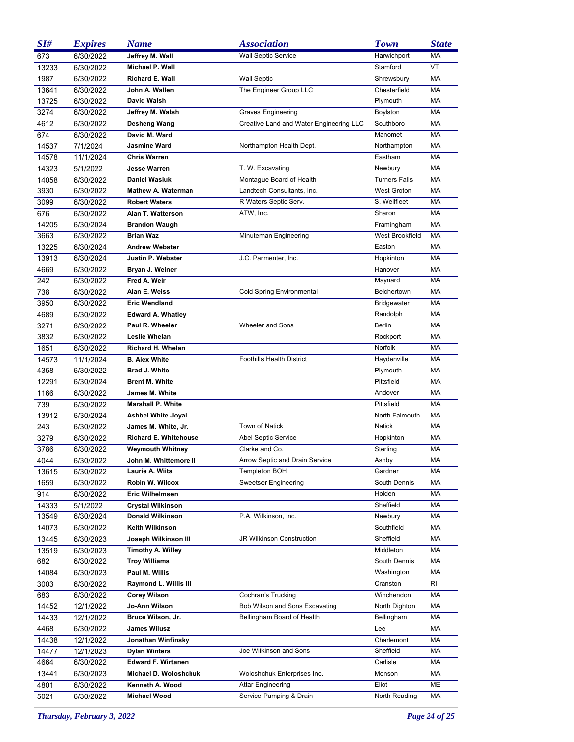| SI#   | <b>Expires</b> | <b>Name</b>                                | <b>Association</b>                                  | <b>Town</b>          | <b>State</b> |
|-------|----------------|--------------------------------------------|-----------------------------------------------------|----------------------|--------------|
| 673   | 6/30/2022      | Jeffrey M. Wall                            | <b>Wall Septic Service</b>                          | Harwichport          | MA           |
| 13233 | 6/30/2022      | Michael P. Wall                            |                                                     | Stamford             | VT           |
| 1987  | 6/30/2022      | Richard E. Wall                            | <b>Wall Septic</b>                                  | Shrewsbury           | МA           |
| 13641 | 6/30/2022      | John A. Wallen                             | The Engineer Group LLC                              | Chesterfield         | MA           |
| 13725 | 6/30/2022      | David Walsh                                |                                                     | Plymouth             | МA           |
| 3274  | 6/30/2022      | Jeffrey M. Walsh                           | <b>Graves Engineering</b>                           | Boylston             | МA           |
| 4612  | 6/30/2022      | Desheng Wang                               | Creative Land and Water Engineering LLC             | Southboro            | MA           |
| 674   | 6/30/2022      | David M. Ward                              |                                                     | Manomet              | МA           |
| 14537 | 7/1/2024       | Jasmine Ward                               | Northampton Health Dept.                            | Northampton          | МA           |
| 14578 | 11/1/2024      | <b>Chris Warren</b>                        |                                                     | Eastham              | МA           |
| 14323 | 5/1/2022       | <b>Jesse Warren</b>                        | T. W. Excavating                                    | Newbury              | МA           |
| 14058 | 6/30/2022      | Daniel Wasiuk                              | Montague Board of Health                            | <b>Turners Falls</b> | МA           |
| 3930  | 6/30/2022      | Mathew A. Waterman                         | Landtech Consultants, Inc.                          | <b>West Groton</b>   | МA           |
| 3099  | 6/30/2022      | <b>Robert Waters</b>                       | R Waters Septic Serv.                               | S. Wellfleet         | МA           |
| 676   | 6/30/2022      | Alan T. Watterson                          | ATW, Inc.                                           | Sharon               | МA           |
| 14205 | 6/30/2024      | <b>Brandon Waugh</b>                       |                                                     | Framingham           | МA           |
| 3663  | 6/30/2022      | <b>Brian Waz</b>                           | Minuteman Engineering                               | West Brookfield      | МA           |
| 13225 | 6/30/2024      | <b>Andrew Webster</b>                      |                                                     | Easton               | МA           |
| 13913 | 6/30/2024      | Justin P. Webster                          | J.C. Parmenter, Inc.                                | Hopkinton            | МA           |
| 4669  | 6/30/2022      | Bryan J. Weiner                            |                                                     | Hanover              | МA           |
| 242   | 6/30/2022      | Fred A. Weir                               |                                                     | Maynard              | МA           |
| 738   | 6/30/2022      | Alan E. Weiss                              | Cold Spring Environmental                           | Belchertown          | МA           |
| 3950  | 6/30/2022      | Eric Wendland                              |                                                     | <b>Bridgewater</b>   | МA           |
| 4689  | 6/30/2022      | <b>Edward A. Whatley</b>                   |                                                     | Randolph             | МA           |
| 3271  | 6/30/2022      | Paul R. Wheeler                            | <b>Wheeler and Sons</b>                             | Berlin               | МA           |
| 3832  | 6/30/2022      | Leslie Whelan                              |                                                     | Rockport             | МA           |
| 1651  | 6/30/2022      | Richard H. Whelan                          |                                                     | Norfolk              | МA           |
| 14573 | 11/1/2024      | <b>B. Alex White</b>                       | <b>Foothills Health District</b>                    | Haydenville          | МA           |
| 4358  | 6/30/2022      | <b>Brad J. White</b>                       |                                                     | Plymouth             | МA           |
| 12291 | 6/30/2024      | Brent M. White                             |                                                     | Pittsfield           | МA           |
| 1166  | 6/30/2022      | James M. White                             |                                                     | Andover              | МA           |
| 739   | 6/30/2022      | <b>Marshall P. White</b>                   |                                                     | Pittsfield           | МA           |
| 13912 | 6/30/2024      | Ashbel White Joyal                         |                                                     | North Falmouth       | МA           |
| 243   | 6/30/2022      | James M. White, Jr.                        | <b>Town of Natick</b>                               | <b>Natick</b>        | МA           |
| 3279  | 6/30/2022      | <b>Richard E. Whitehouse</b>               | <b>Abel Septic Service</b>                          | Hopkinton            | МA           |
| 3786  | 6/30/2022      | <b>Weymouth Whitney</b>                    | Clarke and Co.                                      | Sterling             | МA           |
| 4044  | 6/30/2022      | John M. Whittemore II                      | Arrow Septic and Drain Service                      | Ashby                | МA           |
| 13615 | 6/30/2022      | Laurie A. Wiita                            | <b>Templeton BOH</b>                                | Gardner              | МA           |
| 1659  | 6/30/2022      | Robin W. Wilcox                            | <b>Sweetser Engineering</b>                         | South Dennis         | МA           |
| 914   | 6/30/2022      | Eric Wilhelmsen                            |                                                     | Holden               | МA           |
| 14333 | 5/1/2022       | Crystal Wilkinson                          |                                                     | Sheffield            | МA           |
| 13549 | 6/30/2024      | Donald Wilkinson                           | P.A. Wilkinson, Inc.                                | Newbury              | МA           |
| 14073 | 6/30/2022      | Keith Wilkinson                            |                                                     | Southfield           | МA           |
| 13445 | 6/30/2023      | Joseph Wilkinson III                       | JR Wilkinson Construction                           | Sheffield            | МA           |
| 13519 | 6/30/2023      | Timothy A. Willey                          |                                                     | Middleton            | МA           |
| 682   | 6/30/2022      | <b>Troy Williams</b>                       |                                                     | South Dennis         | МA           |
| 14084 | 6/30/2023      | Paul M. Willis                             |                                                     | Washington           | МA           |
| 3003  | 6/30/2022      | Raymond L. Willis III                      |                                                     | Cranston             | RI           |
| 683   | 6/30/2022      | Corey Wilson                               | Cochran's Trucking                                  | Winchendon           | МA           |
| 14452 | 12/1/2022      | Jo-Ann Wilson                              | Bob Wilson and Sons Excavating                      | North Dighton        | МA<br>МA     |
| 14433 | 12/1/2022      | Bruce Wilson, Jr.<br>James Wilusz          | Bellingham Board of Health                          | Bellingham           | МA           |
| 4468  | 6/30/2022      |                                            |                                                     | Lee                  |              |
| 14438 | 12/1/2022      | Jonathan Winfinsky                         | Joe Wilkinson and Sons                              | Charlemont           | МA<br>МA     |
| 14477 | 12/1/2023      | Dylan Winters<br><b>Edward F. Wirtanen</b> |                                                     | Sheffield            | МA           |
| 4664  | 6/30/2022      | Michael D. Woloshchuk                      |                                                     | Carlisle             | МA           |
| 13441 | 6/30/2023      | Kenneth A. Wood                            | Woloshchuk Enterprises Inc.                         | Monson<br>Eliot      | МE           |
| 4801  | 6/30/2022      | <b>Michael Wood</b>                        | <b>Attar Engineering</b><br>Service Pumping & Drain | North Reading        | МA           |
| 5021  | 6/30/2022      |                                            |                                                     |                      |              |